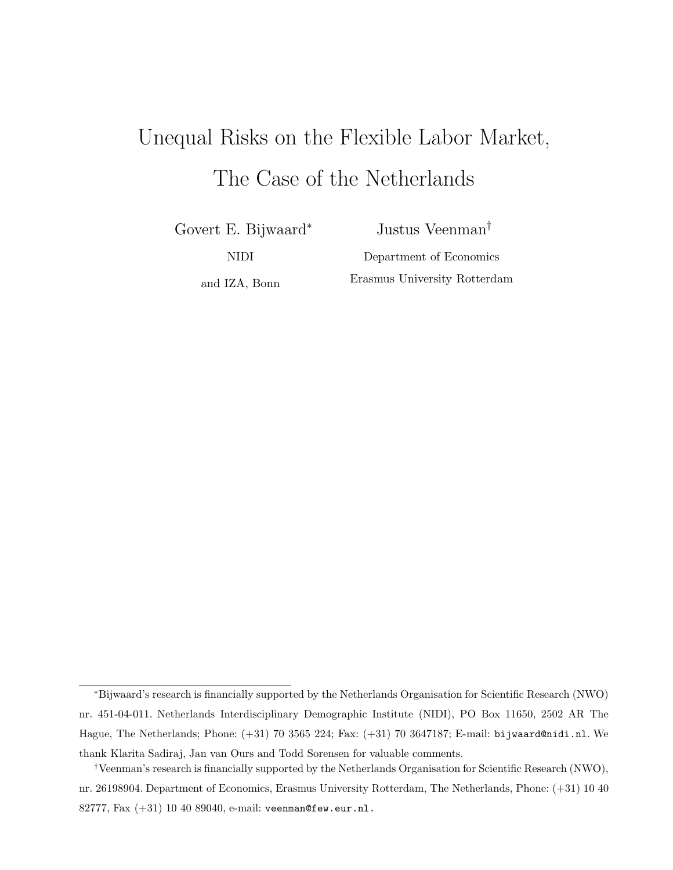# Unequal Risks on the Flexible Labor Market, The Case of the Netherlands

Govert E. Bijwaard<sup>∗</sup>

Justus Veenman†

NIDI

Department of Economics Erasmus University Rotterdam

and IZA, Bonn

<sup>∗</sup>Bijwaard's research is financially supported by the Netherlands Organisation for Scientific Research (NWO) nr. 451-04-011. Netherlands Interdisciplinary Demographic Institute (NIDI), PO Box 11650, 2502 AR The Hague, The Netherlands; Phone: (+31) 70 3565 224; Fax: (+31) 70 3647187; E-mail: bijwaard@nidi.nl. We thank Klarita Sadiraj, Jan van Ours and Todd Sorensen for valuable comments.

<sup>†</sup>Veenman's research is financially supported by the Netherlands Organisation for Scientific Research (NWO), nr. 26198904. Department of Economics, Erasmus University Rotterdam, The Netherlands, Phone: (+31) 10 40 82777, Fax (+31) 10 40 89040, e-mail: veenman@few.eur.nl.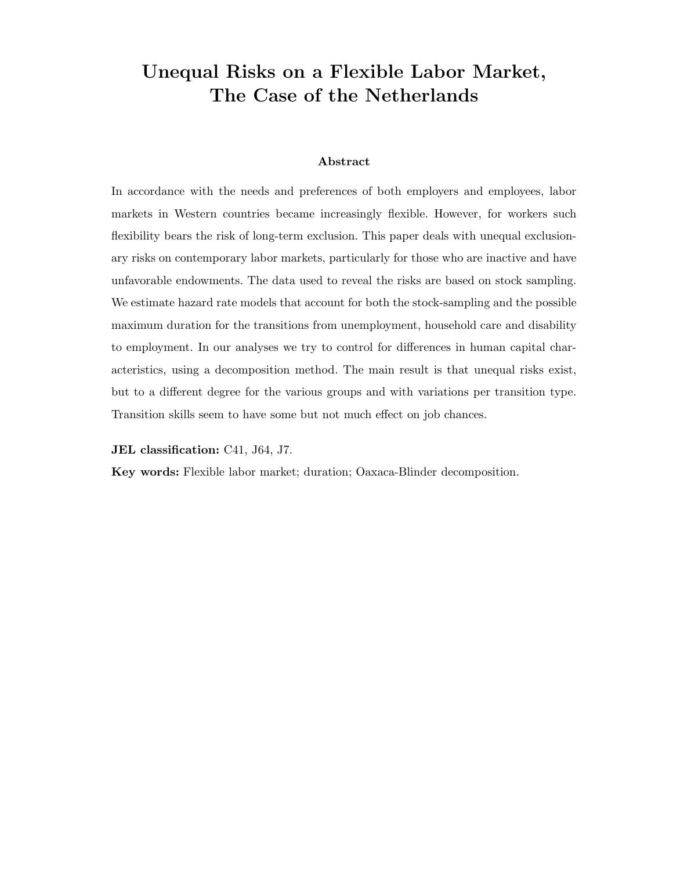# Unequal Risks on a Flexible Labor Market, The Case of the Netherlands

#### Abstract

In accordance with the needs and preferences of both employers and employees, labor markets in Western countries became increasingly flexible. However, for workers such flexibility bears the risk of long-term exclusion. This paper deals with unequal exclusionary risks on contemporary labor markets, particularly for those who are inactive and have unfavorable endowments. The data used to reveal the risks are based on stock sampling. We estimate hazard rate models that account for both the stock-sampling and the possible maximum duration for the transitions from unemployment, household care and disability to employment. In our analyses we try to control for differences in human capital characteristics, using a decomposition method. The main result is that unequal risks exist, but to a different degree for the various groups and with variations per transition type. Transition skills seem to have some but not much effect on job chances.

JEL classification: C41, J64, J7.

Key words: Flexible labor market; duration; Oaxaca-Blinder decomposition.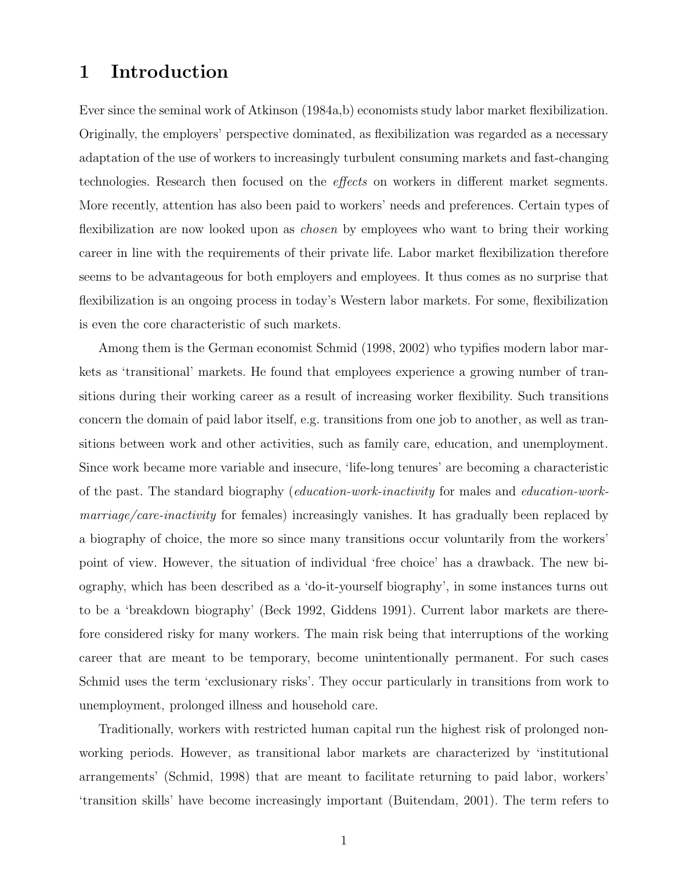# 1 Introduction

Ever since the seminal work of Atkinson (1984a,b) economists study labor market flexibilization. Originally, the employers' perspective dominated, as flexibilization was regarded as a necessary adaptation of the use of workers to increasingly turbulent consuming markets and fast-changing technologies. Research then focused on the effects on workers in different market segments. More recently, attention has also been paid to workers' needs and preferences. Certain types of flexibilization are now looked upon as *chosen* by employees who want to bring their working career in line with the requirements of their private life. Labor market flexibilization therefore seems to be advantageous for both employers and employees. It thus comes as no surprise that flexibilization is an ongoing process in today's Western labor markets. For some, flexibilization is even the core characteristic of such markets.

Among them is the German economist Schmid (1998, 2002) who typifies modern labor markets as 'transitional' markets. He found that employees experience a growing number of transitions during their working career as a result of increasing worker flexibility. Such transitions concern the domain of paid labor itself, e.g. transitions from one job to another, as well as transitions between work and other activities, such as family care, education, and unemployment. Since work became more variable and insecure, 'life-long tenures' are becoming a characteristic of the past. The standard biography (education-work-inactivity for males and education-workmarriage/care-inactivity for females) increasingly vanishes. It has gradually been replaced by a biography of choice, the more so since many transitions occur voluntarily from the workers' point of view. However, the situation of individual 'free choice' has a drawback. The new biography, which has been described as a 'do-it-yourself biography', in some instances turns out to be a 'breakdown biography' (Beck 1992, Giddens 1991). Current labor markets are therefore considered risky for many workers. The main risk being that interruptions of the working career that are meant to be temporary, become unintentionally permanent. For such cases Schmid uses the term 'exclusionary risks'. They occur particularly in transitions from work to unemployment, prolonged illness and household care.

Traditionally, workers with restricted human capital run the highest risk of prolonged nonworking periods. However, as transitional labor markets are characterized by 'institutional arrangements' (Schmid, 1998) that are meant to facilitate returning to paid labor, workers' 'transition skills' have become increasingly important (Buitendam, 2001). The term refers to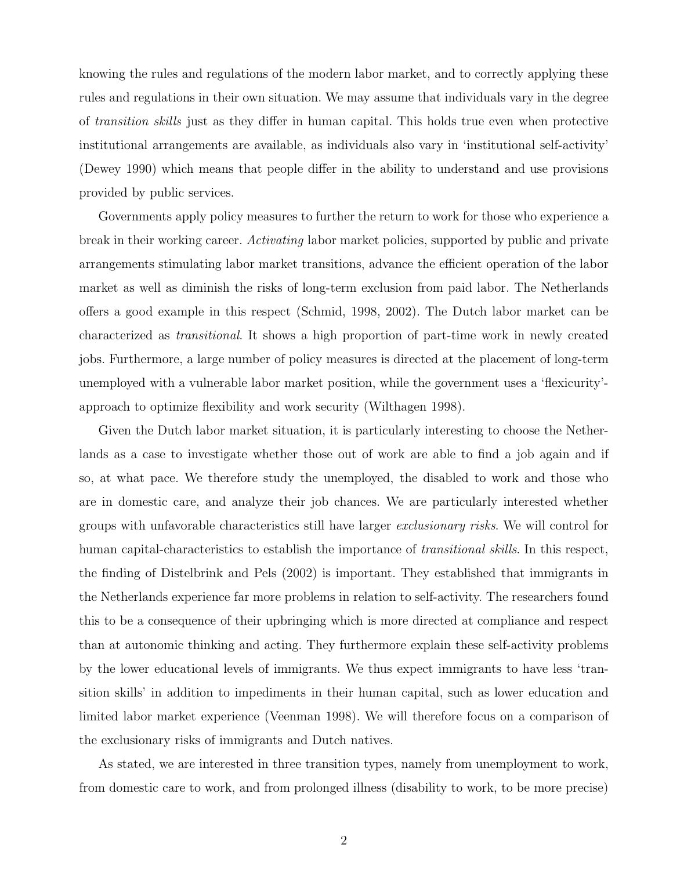knowing the rules and regulations of the modern labor market, and to correctly applying these rules and regulations in their own situation. We may assume that individuals vary in the degree of transition skills just as they differ in human capital. This holds true even when protective institutional arrangements are available, as individuals also vary in 'institutional self-activity' (Dewey 1990) which means that people differ in the ability to understand and use provisions provided by public services.

Governments apply policy measures to further the return to work for those who experience a break in their working career. Activating labor market policies, supported by public and private arrangements stimulating labor market transitions, advance the efficient operation of the labor market as well as diminish the risks of long-term exclusion from paid labor. The Netherlands offers a good example in this respect (Schmid, 1998, 2002). The Dutch labor market can be characterized as transitional. It shows a high proportion of part-time work in newly created jobs. Furthermore, a large number of policy measures is directed at the placement of long-term unemployed with a vulnerable labor market position, while the government uses a 'flexicurity' approach to optimize flexibility and work security (Wilthagen 1998).

Given the Dutch labor market situation, it is particularly interesting to choose the Netherlands as a case to investigate whether those out of work are able to find a job again and if so, at what pace. We therefore study the unemployed, the disabled to work and those who are in domestic care, and analyze their job chances. We are particularly interested whether groups with unfavorable characteristics still have larger exclusionary risks. We will control for human capital-characteristics to establish the importance of *transitional skills*. In this respect, the finding of Distelbrink and Pels (2002) is important. They established that immigrants in the Netherlands experience far more problems in relation to self-activity. The researchers found this to be a consequence of their upbringing which is more directed at compliance and respect than at autonomic thinking and acting. They furthermore explain these self-activity problems by the lower educational levels of immigrants. We thus expect immigrants to have less 'transition skills' in addition to impediments in their human capital, such as lower education and limited labor market experience (Veenman 1998). We will therefore focus on a comparison of the exclusionary risks of immigrants and Dutch natives.

As stated, we are interested in three transition types, namely from unemployment to work, from domestic care to work, and from prolonged illness (disability to work, to be more precise)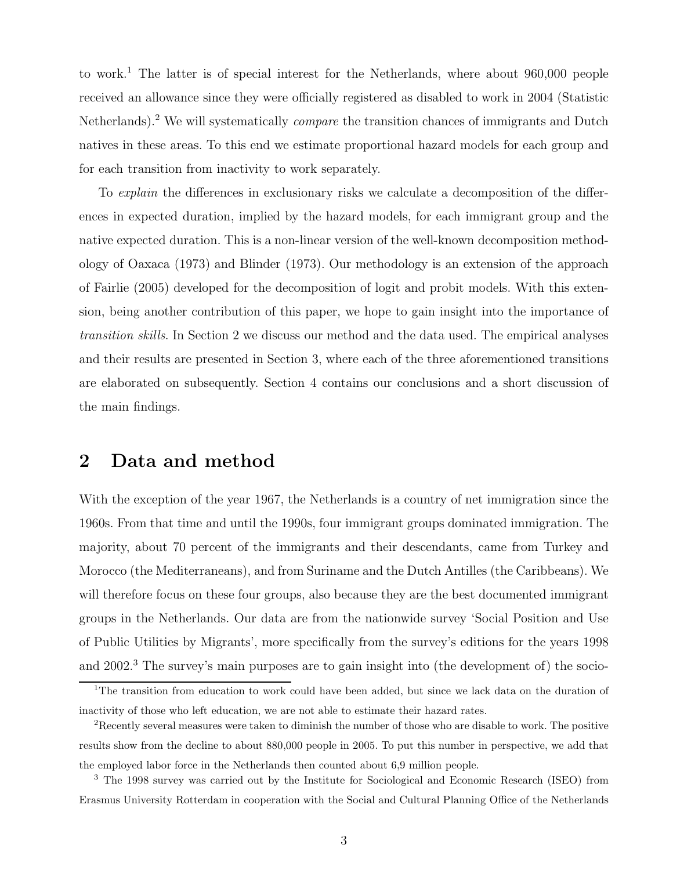to work.<sup>1</sup> The latter is of special interest for the Netherlands, where about  $960,000$  people received an allowance since they were officially registered as disabled to work in 2004 (Statistic Netherlands).<sup>2</sup> We will systematically *compare* the transition chances of immigrants and Dutch natives in these areas. To this end we estimate proportional hazard models for each group and for each transition from inactivity to work separately.

To *explain* the differences in exclusionary risks we calculate a decomposition of the differences in expected duration, implied by the hazard models, for each immigrant group and the native expected duration. This is a non-linear version of the well-known decomposition methodology of Oaxaca (1973) and Blinder (1973). Our methodology is an extension of the approach of Fairlie (2005) developed for the decomposition of logit and probit models. With this extension, being another contribution of this paper, we hope to gain insight into the importance of transition skills. In Section 2 we discuss our method and the data used. The empirical analyses and their results are presented in Section 3, where each of the three aforementioned transitions are elaborated on subsequently. Section 4 contains our conclusions and a short discussion of the main findings.

## 2 Data and method

With the exception of the year 1967, the Netherlands is a country of net immigration since the 1960s. From that time and until the 1990s, four immigrant groups dominated immigration. The majority, about 70 percent of the immigrants and their descendants, came from Turkey and Morocco (the Mediterraneans), and from Suriname and the Dutch Antilles (the Caribbeans). We will therefore focus on these four groups, also because they are the best documented immigrant groups in the Netherlands. Our data are from the nationwide survey 'Social Position and Use of Public Utilities by Migrants', more specifically from the survey's editions for the years 1998 and 2002.<sup>3</sup> The survey's main purposes are to gain insight into (the development of) the socio-

<sup>&</sup>lt;sup>1</sup>The transition from education to work could have been added, but since we lack data on the duration of inactivity of those who left education, we are not able to estimate their hazard rates.

<sup>&</sup>lt;sup>2</sup>Recently several measures were taken to diminish the number of those who are disable to work. The positive results show from the decline to about 880,000 people in 2005. To put this number in perspective, we add that the employed labor force in the Netherlands then counted about 6,9 million people.

<sup>3</sup> The 1998 survey was carried out by the Institute for Sociological and Economic Research (ISEO) from Erasmus University Rotterdam in cooperation with the Social and Cultural Planning Office of the Netherlands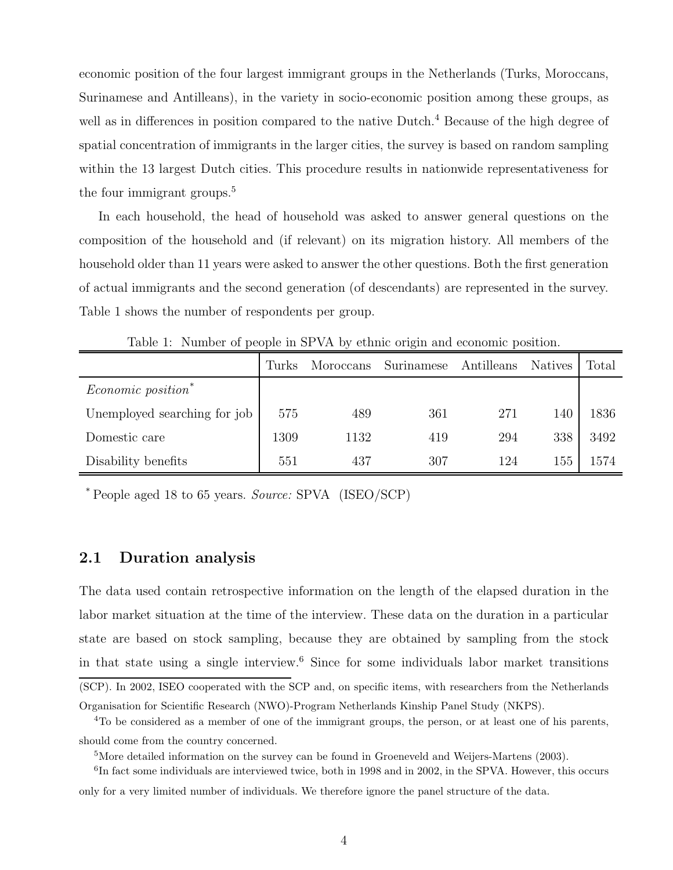economic position of the four largest immigrant groups in the Netherlands (Turks, Moroccans, Surinamese and Antilleans), in the variety in socio-economic position among these groups, as well as in differences in position compared to the native Dutch.<sup>4</sup> Because of the high degree of spatial concentration of immigrants in the larger cities, the survey is based on random sampling within the 13 largest Dutch cities. This procedure results in nationwide representativeness for the four immigrant groups.<sup>5</sup>

In each household, the head of household was asked to answer general questions on the composition of the household and (if relevant) on its migration history. All members of the household older than 11 years were asked to answer the other questions. Both the first generation of actual immigrants and the second generation (of descendants) are represented in the survey. Table 1 shows the number of respondents per group.

|                                | Turks | Moroccans | Surinamese | Antilleans | <b>Natives</b> | Total |
|--------------------------------|-------|-----------|------------|------------|----------------|-------|
| Economic position <sup>*</sup> |       |           |            |            |                |       |
| Unemployed searching for job   | 575   | 489       | 361        | 271        | 140            | 1836  |
| Domestic care                  | 1309  | 1132      | 419        | 294        | 338            | 3492  |
| Disability benefits            | 551   | 437       | 307        | 124        | 155            | 1574  |

Table 1: Number of people in SPVA by ethnic origin and economic position.

\* People aged 18 to 65 years. Source: SPVA (ISEO/SCP)

#### 2.1 Duration analysis

The data used contain retrospective information on the length of the elapsed duration in the labor market situation at the time of the interview. These data on the duration in a particular state are based on stock sampling, because they are obtained by sampling from the stock in that state using a single interview.<sup>6</sup> Since for some individuals labor market transitions (SCP). In 2002, ISEO cooperated with the SCP and, on specific items, with researchers from the Netherlands

Organisation for Scientific Research (NWO)-Program Netherlands Kinship Panel Study (NKPS).

<sup>4</sup>To be considered as a member of one of the immigrant groups, the person, or at least one of his parents, should come from the country concerned.

<sup>5</sup>More detailed information on the survey can be found in Groeneveld and Weijers-Martens (2003).

<sup>&</sup>lt;sup>6</sup>In fact some individuals are interviewed twice, both in 1998 and in 2002, in the SPVA. However, this occurs only for a very limited number of individuals. We therefore ignore the panel structure of the data.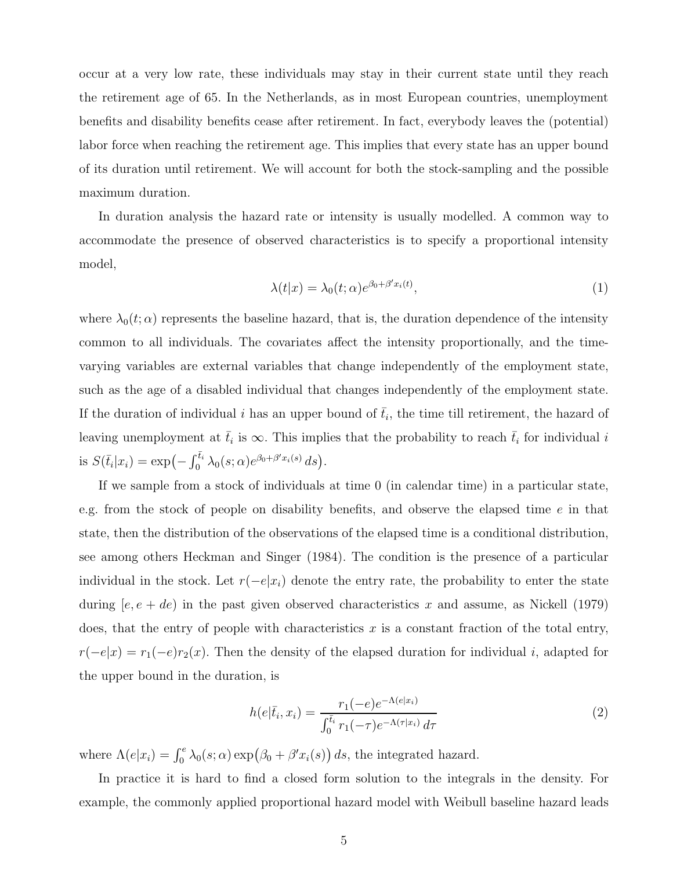occur at a very low rate, these individuals may stay in their current state until they reach the retirement age of 65. In the Netherlands, as in most European countries, unemployment benefits and disability benefits cease after retirement. In fact, everybody leaves the (potential) labor force when reaching the retirement age. This implies that every state has an upper bound of its duration until retirement. We will account for both the stock-sampling and the possible maximum duration.

In duration analysis the hazard rate or intensity is usually modelled. A common way to accommodate the presence of observed characteristics is to specify a proportional intensity model,

$$
\lambda(t|x) = \lambda_0(t;\alpha)e^{\beta_0 + \beta' x_i(t)},\tag{1}
$$

where  $\lambda_0(t;\alpha)$  represents the baseline hazard, that is, the duration dependence of the intensity common to all individuals. The covariates affect the intensity proportionally, and the timevarying variables are external variables that change independently of the employment state, such as the age of a disabled individual that changes independently of the employment state. If the duration of individual i has an upper bound of  $\bar{t}_i$ , the time till retirement, the hazard of leaving unemployment at  $\bar{t}_i$  is  $\infty$ . This implies that the probability to reach  $\bar{t}_i$  for individual i is  $S(\bar{t}_i|x_i) = \exp\left(-\int_0^{\bar{t}_i} \lambda_0(s;\alpha) e^{\beta_0+\beta' x_i(s)} ds\right).$ 

If we sample from a stock of individuals at time 0 (in calendar time) in a particular state, e.g. from the stock of people on disability benefits, and observe the elapsed time e in that state, then the distribution of the observations of the elapsed time is a conditional distribution, see among others Heckman and Singer (1984). The condition is the presence of a particular individual in the stock. Let  $r(-e|x_i)$  denote the entry rate, the probability to enter the state during  $[e, e + de]$  in the past given observed characteristics x and assume, as Nickell (1979) does, that the entry of people with characteristics  $x$  is a constant fraction of the total entry,  $r(-e|x) = r_1(-e)r_2(x)$ . Then the density of the elapsed duration for individual i, adapted for the upper bound in the duration, is

$$
h(e|\bar{t}_i, x_i) = \frac{r_1(-e)e^{-\Lambda(e|x_i)}}{\int_0^{\bar{t}_i} r_1(-\tau)e^{-\Lambda(\tau|x_i)} d\tau}
$$
(2)

where  $\Lambda(e|x_i) = \int_0^e \lambda_0(s;\alpha) \exp(\beta_0 + \beta' x_i(s)) ds$ , the integrated hazard.

In practice it is hard to find a closed form solution to the integrals in the density. For example, the commonly applied proportional hazard model with Weibull baseline hazard leads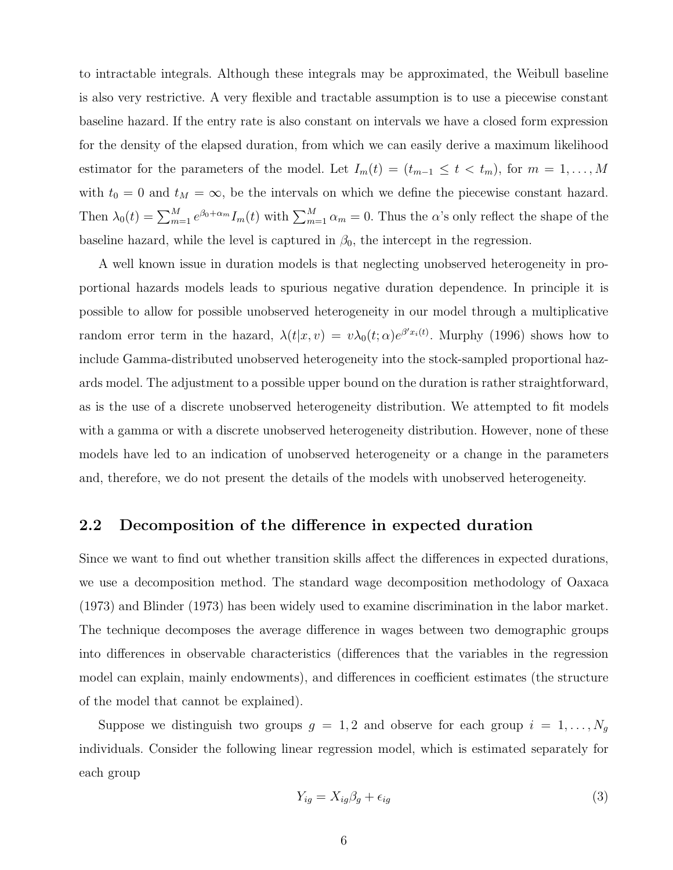to intractable integrals. Although these integrals may be approximated, the Weibull baseline is also very restrictive. A very flexible and tractable assumption is to use a piecewise constant baseline hazard. If the entry rate is also constant on intervals we have a closed form expression for the density of the elapsed duration, from which we can easily derive a maximum likelihood estimator for the parameters of the model. Let  $I_m(t) = (t_{m-1} \le t < t_m)$ , for  $m = 1, ..., M$ with  $t_0 = 0$  and  $t_M = \infty$ , be the intervals on which we define the piecewise constant hazard. Then  $\lambda_0(t) = \sum_{m=1}^M e^{\beta_0 + \alpha_m} I_m(t)$  with  $\sum_{m=1}^M \alpha_m = 0$ . Thus the  $\alpha$ 's only reflect the shape of the baseline hazard, while the level is captured in  $\beta_0$ , the intercept in the regression.

A well known issue in duration models is that neglecting unobserved heterogeneity in proportional hazards models leads to spurious negative duration dependence. In principle it is possible to allow for possible unobserved heterogeneity in our model through a multiplicative random error term in the hazard,  $\lambda(t|x,v) = v\lambda_0(t;\alpha)e^{\beta' x_i(t)}$ . Murphy (1996) shows how to include Gamma-distributed unobserved heterogeneity into the stock-sampled proportional hazards model. The adjustment to a possible upper bound on the duration is rather straightforward, as is the use of a discrete unobserved heterogeneity distribution. We attempted to fit models with a gamma or with a discrete unobserved heterogeneity distribution. However, none of these models have led to an indication of unobserved heterogeneity or a change in the parameters and, therefore, we do not present the details of the models with unobserved heterogeneity.

#### 2.2 Decomposition of the difference in expected duration

Since we want to find out whether transition skills affect the differences in expected durations, we use a decomposition method. The standard wage decomposition methodology of Oaxaca (1973) and Blinder (1973) has been widely used to examine discrimination in the labor market. The technique decomposes the average difference in wages between two demographic groups into differences in observable characteristics (differences that the variables in the regression model can explain, mainly endowments), and differences in coefficient estimates (the structure of the model that cannot be explained).

Suppose we distinguish two groups  $g = 1, 2$  and observe for each group  $i = 1, \ldots, N_g$ individuals. Consider the following linear regression model, which is estimated separately for each group

$$
Y_{ig} = X_{ig}\beta_g + \epsilon_{ig} \tag{3}
$$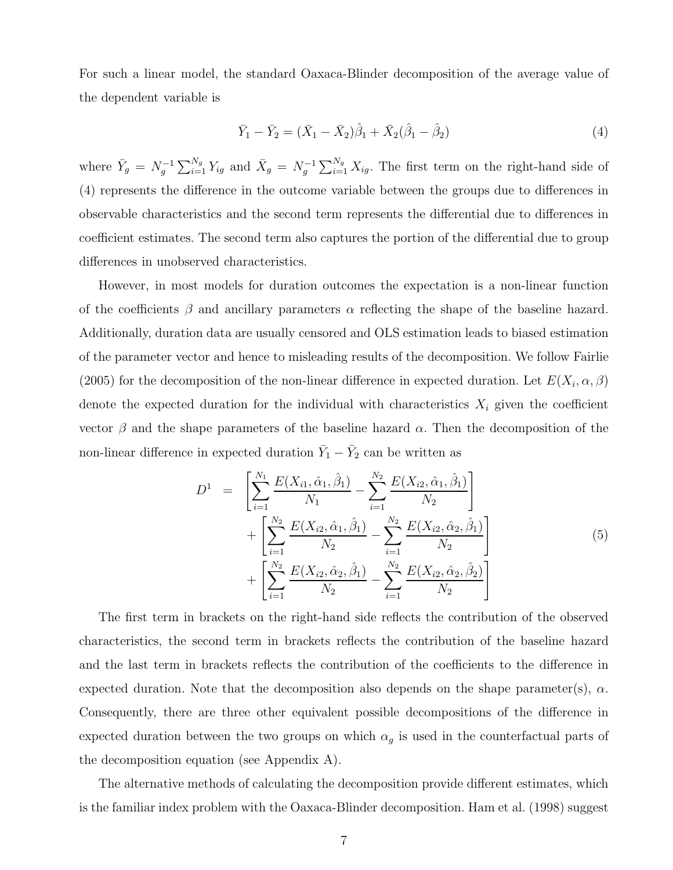For such a linear model, the standard Oaxaca-Blinder decomposition of the average value of the dependent variable is

$$
\bar{Y}_1 - \bar{Y}_2 = (\bar{X}_1 - \bar{X}_2)\hat{\beta}_1 + \bar{X}_2(\hat{\beta}_1 - \hat{\beta}_2)
$$
\n(4)

where  $\bar{Y}_g = N_g^{-1} \sum_{i=1}^{N_g} Y_{ig}$  and  $\bar{X}_g = N_g^{-1} \sum_{i=1}^{N_g} X_{ig}$ . The first term on the right-hand side of (4) represents the difference in the outcome variable between the groups due to differences in observable characteristics and the second term represents the differential due to differences in coefficient estimates. The second term also captures the portion of the differential due to group differences in unobserved characteristics.

However, in most models for duration outcomes the expectation is a non-linear function of the coefficients  $\beta$  and ancillary parameters  $\alpha$  reflecting the shape of the baseline hazard. Additionally, duration data are usually censored and OLS estimation leads to biased estimation of the parameter vector and hence to misleading results of the decomposition. We follow Fairlie (2005) for the decomposition of the non-linear difference in expected duration. Let  $E(X_i, \alpha, \beta)$ denote the expected duration for the individual with characteristics  $X_i$  given the coefficient vector  $β$  and the shape parameters of the baseline hazard  $α$ . Then the decomposition of the non-linear difference in expected duration  $\bar{Y}_1 - \bar{Y}_2$  can be written as

$$
D^{1} = \left[ \sum_{i=1}^{N_{1}} \frac{E(X_{i1}, \hat{\alpha}_{1}, \hat{\beta}_{1})}{N_{1}} - \sum_{i=1}^{N_{2}} \frac{E(X_{i2}, \hat{\alpha}_{1}, \hat{\beta}_{1})}{N_{2}} \right] + \left[ \sum_{i=1}^{N_{2}} \frac{E(X_{i2}, \hat{\alpha}_{1}, \hat{\beta}_{1})}{N_{2}} - \sum_{i=1}^{N_{2}} \frac{E(X_{i2}, \hat{\alpha}_{2}, \hat{\beta}_{1})}{N_{2}} \right] + \left[ \sum_{i=1}^{N_{2}} \frac{E(X_{i2}, \hat{\alpha}_{2}, \hat{\beta}_{1})}{N_{2}} - \sum_{i=1}^{N_{2}} \frac{E(X_{i2}, \hat{\alpha}_{2}, \hat{\beta}_{2})}{N_{2}} \right]
$$
(5)

The first term in brackets on the right-hand side reflects the contribution of the observed characteristics, the second term in brackets reflects the contribution of the baseline hazard and the last term in brackets reflects the contribution of the coefficients to the difference in expected duration. Note that the decomposition also depends on the shape parameter(s),  $\alpha$ . Consequently, there are three other equivalent possible decompositions of the difference in expected duration between the two groups on which  $\alpha_g$  is used in the counterfactual parts of the decomposition equation (see Appendix A).

The alternative methods of calculating the decomposition provide different estimates, which is the familiar index problem with the Oaxaca-Blinder decomposition. Ham et al. (1998) suggest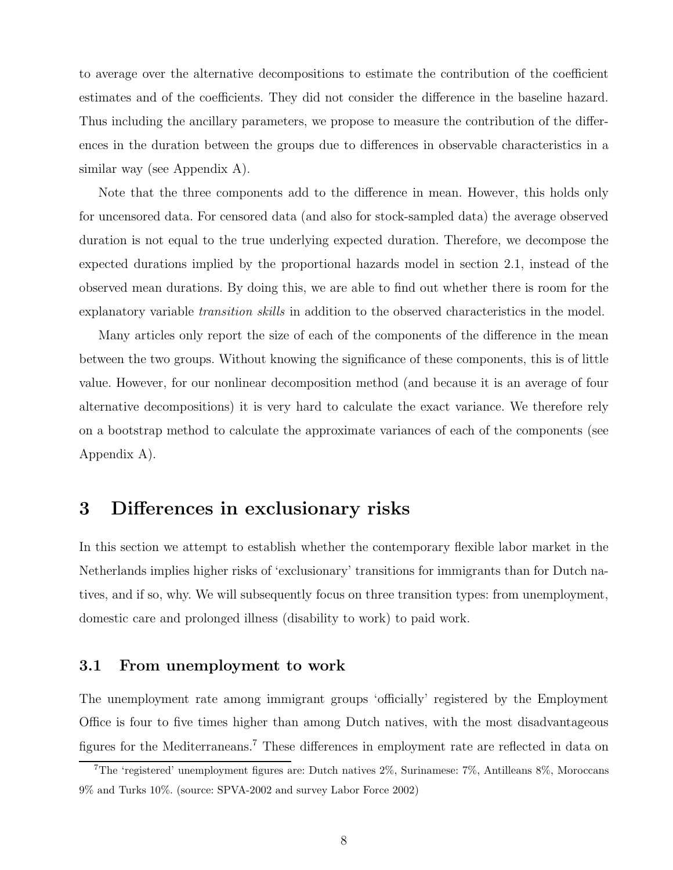to average over the alternative decompositions to estimate the contribution of the coefficient estimates and of the coefficients. They did not consider the difference in the baseline hazard. Thus including the ancillary parameters, we propose to measure the contribution of the differences in the duration between the groups due to differences in observable characteristics in a similar way (see Appendix A).

Note that the three components add to the difference in mean. However, this holds only for uncensored data. For censored data (and also for stock-sampled data) the average observed duration is not equal to the true underlying expected duration. Therefore, we decompose the expected durations implied by the proportional hazards model in section 2.1, instead of the observed mean durations. By doing this, we are able to find out whether there is room for the explanatory variable *transition skills* in addition to the observed characteristics in the model.

Many articles only report the size of each of the components of the difference in the mean between the two groups. Without knowing the significance of these components, this is of little value. However, for our nonlinear decomposition method (and because it is an average of four alternative decompositions) it is very hard to calculate the exact variance. We therefore rely on a bootstrap method to calculate the approximate variances of each of the components (see Appendix A).

# 3 Differences in exclusionary risks

In this section we attempt to establish whether the contemporary flexible labor market in the Netherlands implies higher risks of 'exclusionary' transitions for immigrants than for Dutch natives, and if so, why. We will subsequently focus on three transition types: from unemployment, domestic care and prolonged illness (disability to work) to paid work.

#### 3.1 From unemployment to work

The unemployment rate among immigrant groups 'officially' registered by the Employment Office is four to five times higher than among Dutch natives, with the most disadvantageous figures for the Mediterraneans.<sup>7</sup> These differences in employment rate are reflected in data on

<sup>7</sup>The 'registered' unemployment figures are: Dutch natives 2%, Surinamese: 7%, Antilleans 8%, Moroccans 9% and Turks 10%. (source: SPVA-2002 and survey Labor Force 2002)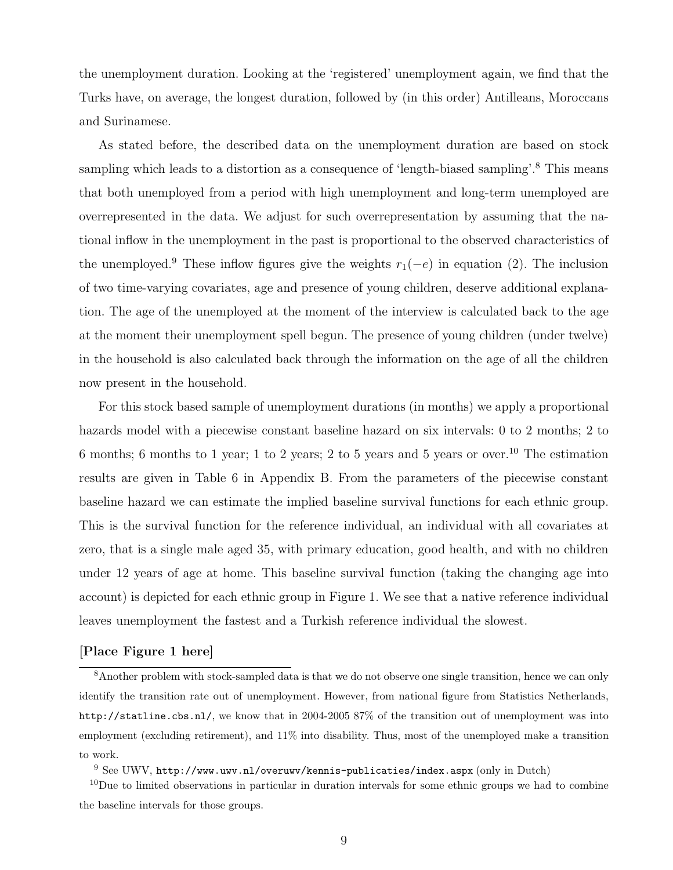the unemployment duration. Looking at the 'registered' unemployment again, we find that the Turks have, on average, the longest duration, followed by (in this order) Antilleans, Moroccans and Surinamese.

As stated before, the described data on the unemployment duration are based on stock sampling which leads to a distortion as a consequence of 'length-biased sampling'.<sup>8</sup> This means that both unemployed from a period with high unemployment and long-term unemployed are overrepresented in the data. We adjust for such overrepresentation by assuming that the national inflow in the unemployment in the past is proportional to the observed characteristics of the unemployed.<sup>9</sup> These inflow figures give the weights  $r_1(-e)$  in equation (2). The inclusion of two time-varying covariates, age and presence of young children, deserve additional explanation. The age of the unemployed at the moment of the interview is calculated back to the age at the moment their unemployment spell begun. The presence of young children (under twelve) in the household is also calculated back through the information on the age of all the children now present in the household.

For this stock based sample of unemployment durations (in months) we apply a proportional hazards model with a piecewise constant baseline hazard on six intervals: 0 to 2 months; 2 to 6 months; 6 months to 1 year; 1 to 2 years; 2 to 5 years and 5 years or over.<sup>10</sup> The estimation results are given in Table 6 in Appendix B. From the parameters of the piecewise constant baseline hazard we can estimate the implied baseline survival functions for each ethnic group. This is the survival function for the reference individual, an individual with all covariates at zero, that is a single male aged 35, with primary education, good health, and with no children under 12 years of age at home. This baseline survival function (taking the changing age into account) is depicted for each ethnic group in Figure 1. We see that a native reference individual leaves unemployment the fastest and a Turkish reference individual the slowest.

#### [Place Figure 1 here]

<sup>8</sup>Another problem with stock-sampled data is that we do not observe one single transition, hence we can only identify the transition rate out of unemployment. However, from national figure from Statistics Netherlands, http://statline.cbs.nl/, we know that in 2004-2005 87% of the transition out of unemployment was into employment (excluding retirement), and 11% into disability. Thus, most of the unemployed make a transition to work.

<sup>9</sup> See UWV, http://www.uwv.nl/overuwv/kennis-publicaties/index.aspx (only in Dutch)

 $10$ Due to limited observations in particular in duration intervals for some ethnic groups we had to combine the baseline intervals for those groups.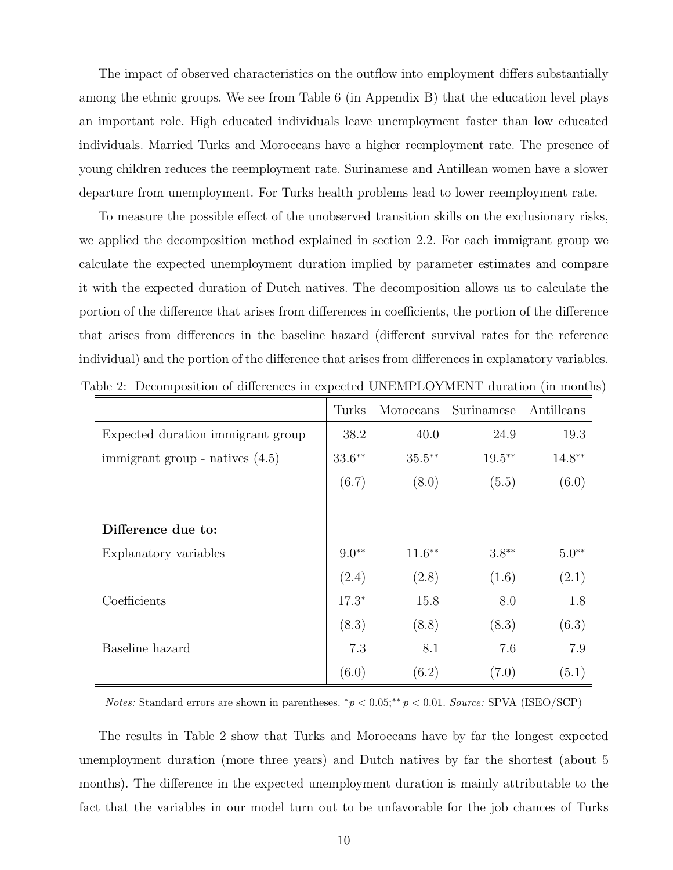The impact of observed characteristics on the outflow into employment differs substantially among the ethnic groups. We see from Table 6 (in Appendix B) that the education level plays an important role. High educated individuals leave unemployment faster than low educated individuals. Married Turks and Moroccans have a higher reemployment rate. The presence of young children reduces the reemployment rate. Surinamese and Antillean women have a slower departure from unemployment. For Turks health problems lead to lower reemployment rate.

To measure the possible effect of the unobserved transition skills on the exclusionary risks, we applied the decomposition method explained in section 2.2. For each immigrant group we calculate the expected unemployment duration implied by parameter estimates and compare it with the expected duration of Dutch natives. The decomposition allows us to calculate the portion of the difference that arises from differences in coefficients, the portion of the difference that arises from differences in the baseline hazard (different survival rates for the reference individual) and the portion of the difference that arises from differences in explanatory variables. Table 2: Decomposition of differences in expected UNEMPLOYMENT duration (in months)

|                                   | Turks     | Moroccans | Surinamese | Antilleans        |
|-----------------------------------|-----------|-----------|------------|-------------------|
| Expected duration immigrant group | 38.2      | 40.0      | 24.9       | 19.3              |
| immigrant group - natives $(4.5)$ | $33.6***$ | $35.5***$ | $19.5***$  | $14.8^{\ast\ast}$ |
|                                   | (6.7)     | (8.0)     | (5.5)      | (6.0)             |
|                                   |           |           |            |                   |
| Difference due to:                |           |           |            |                   |
| Explanatory variables             | $9.0**$   | $11.6***$ | $3.8**$    | $5.0**$           |
|                                   | (2.4)     | (2.8)     | (1.6)      | (2.1)             |
| Coefficients                      | $17.3*$   | 15.8      | 8.0        | 1.8               |
|                                   | (8.3)     | (8.8)     | (8.3)      | (6.3)             |
| Baseline hazard                   | 7.3       | 8.1       | 7.6        | 7.9               |
|                                   | (6.0)     | (6.2)     | (7.0)      | (5.1)             |

*Notes:* Standard errors are shown in parentheses.  $^*p < 0.05; ^{**}p < 0.01$ . Source: SPVA (ISEO/SCP)

The results in Table 2 show that Turks and Moroccans have by far the longest expected unemployment duration (more three years) and Dutch natives by far the shortest (about 5 months). The difference in the expected unemployment duration is mainly attributable to the fact that the variables in our model turn out to be unfavorable for the job chances of Turks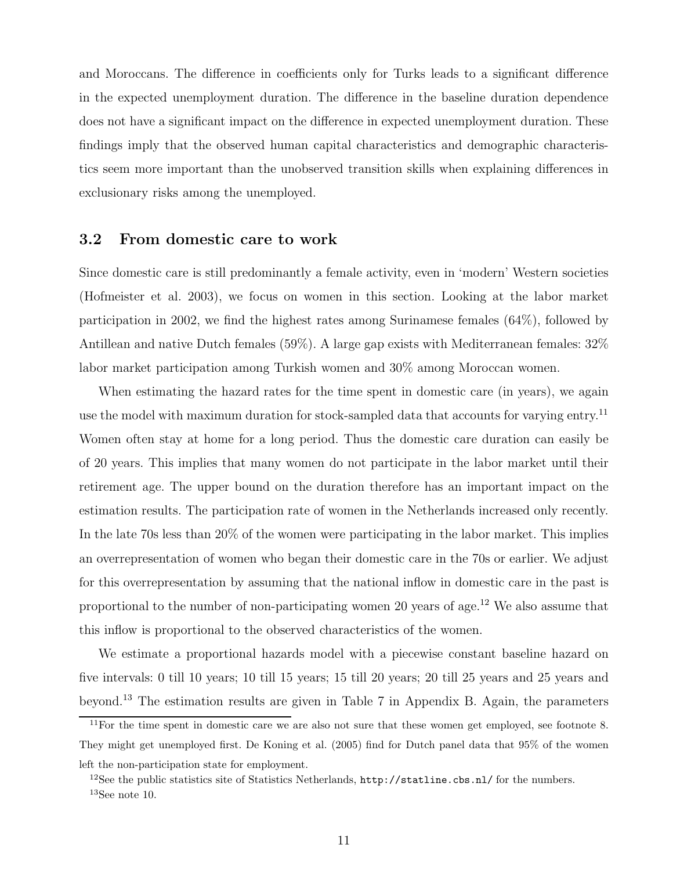and Moroccans. The difference in coefficients only for Turks leads to a significant difference in the expected unemployment duration. The difference in the baseline duration dependence does not have a significant impact on the difference in expected unemployment duration. These findings imply that the observed human capital characteristics and demographic characteristics seem more important than the unobserved transition skills when explaining differences in exclusionary risks among the unemployed.

#### 3.2 From domestic care to work

Since domestic care is still predominantly a female activity, even in 'modern' Western societies (Hofmeister et al. 2003), we focus on women in this section. Looking at the labor market participation in 2002, we find the highest rates among Surinamese females (64%), followed by Antillean and native Dutch females (59%). A large gap exists with Mediterranean females: 32% labor market participation among Turkish women and 30% among Moroccan women.

When estimating the hazard rates for the time spent in domestic care (in years), we again use the model with maximum duration for stock-sampled data that accounts for varying entry.<sup>11</sup> Women often stay at home for a long period. Thus the domestic care duration can easily be of 20 years. This implies that many women do not participate in the labor market until their retirement age. The upper bound on the duration therefore has an important impact on the estimation results. The participation rate of women in the Netherlands increased only recently. In the late 70s less than 20% of the women were participating in the labor market. This implies an overrepresentation of women who began their domestic care in the 70s or earlier. We adjust for this overrepresentation by assuming that the national inflow in domestic care in the past is proportional to the number of non-participating women 20 years of age.<sup>12</sup> We also assume that this inflow is proportional to the observed characteristics of the women.

We estimate a proportional hazards model with a piecewise constant baseline hazard on five intervals: 0 till 10 years; 10 till 15 years; 15 till 20 years; 20 till 25 years and 25 years and beyond.<sup>13</sup> The estimation results are given in Table 7 in Appendix B. Again, the parameters

 $11$ For the time spent in domestic care we are also not sure that these women get employed, see footnote 8. They might get unemployed first. De Koning et al. (2005) find for Dutch panel data that 95% of the women left the non-participation state for employment.

<sup>&</sup>lt;sup>12</sup>See the public statistics site of Statistics Netherlands,  $http://statline.cbs.nl/$  for the numbers.  $13$ See note 10.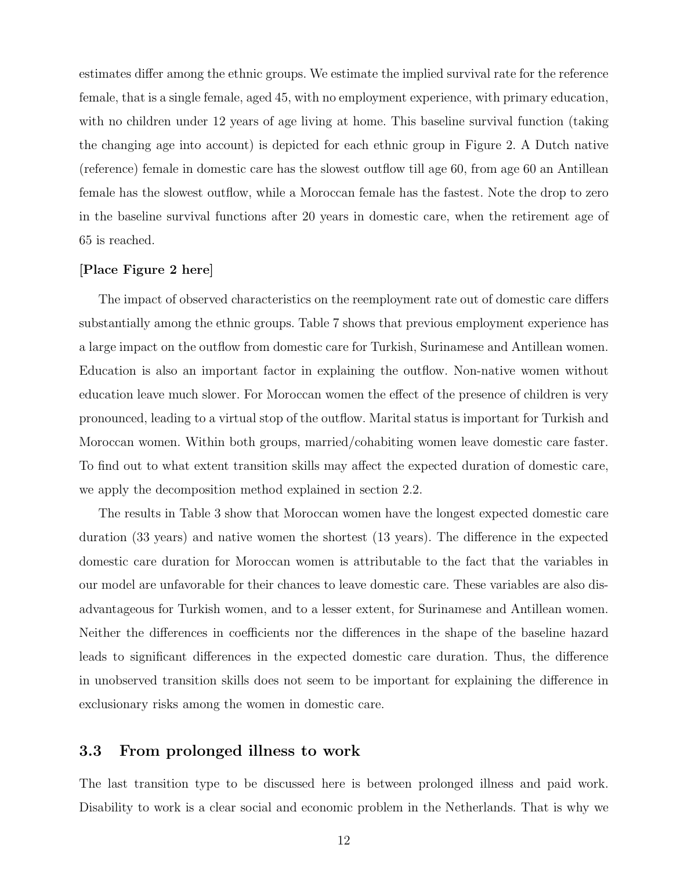estimates differ among the ethnic groups. We estimate the implied survival rate for the reference female, that is a single female, aged 45, with no employment experience, with primary education, with no children under 12 years of age living at home. This baseline survival function (taking the changing age into account) is depicted for each ethnic group in Figure 2. A Dutch native (reference) female in domestic care has the slowest outflow till age 60, from age 60 an Antillean female has the slowest outflow, while a Moroccan female has the fastest. Note the drop to zero in the baseline survival functions after 20 years in domestic care, when the retirement age of 65 is reached.

#### [Place Figure 2 here]

The impact of observed characteristics on the reemployment rate out of domestic care differs substantially among the ethnic groups. Table 7 shows that previous employment experience has a large impact on the outflow from domestic care for Turkish, Surinamese and Antillean women. Education is also an important factor in explaining the outflow. Non-native women without education leave much slower. For Moroccan women the effect of the presence of children is very pronounced, leading to a virtual stop of the outflow. Marital status is important for Turkish and Moroccan women. Within both groups, married/cohabiting women leave domestic care faster. To find out to what extent transition skills may affect the expected duration of domestic care, we apply the decomposition method explained in section 2.2.

The results in Table 3 show that Moroccan women have the longest expected domestic care duration (33 years) and native women the shortest (13 years). The difference in the expected domestic care duration for Moroccan women is attributable to the fact that the variables in our model are unfavorable for their chances to leave domestic care. These variables are also disadvantageous for Turkish women, and to a lesser extent, for Surinamese and Antillean women. Neither the differences in coefficients nor the differences in the shape of the baseline hazard leads to significant differences in the expected domestic care duration. Thus, the difference in unobserved transition skills does not seem to be important for explaining the difference in exclusionary risks among the women in domestic care.

#### 3.3 From prolonged illness to work

The last transition type to be discussed here is between prolonged illness and paid work. Disability to work is a clear social and economic problem in the Netherlands. That is why we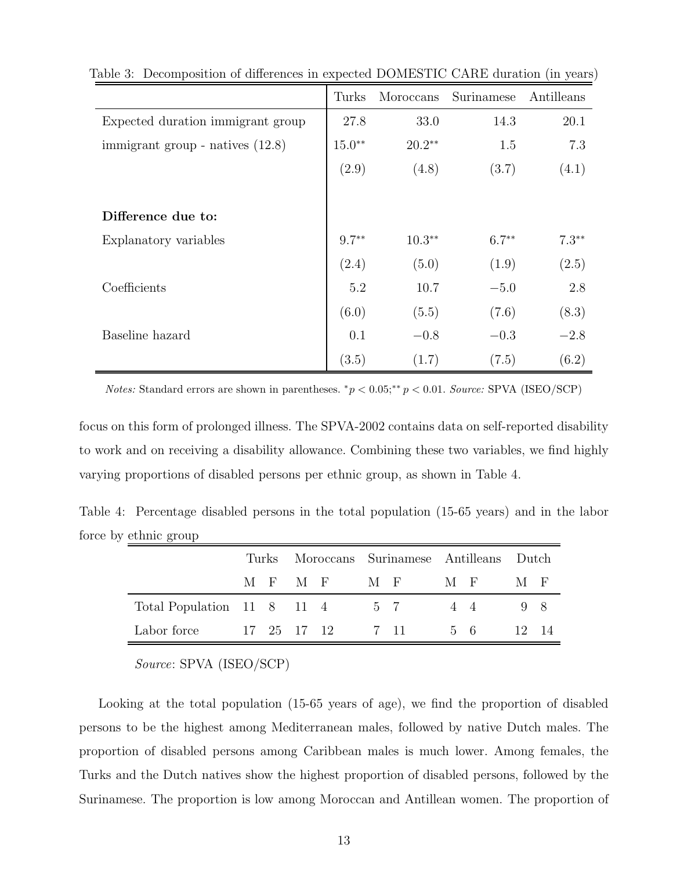|                                    | Turks    | Moroccans | Surinamese | Antilleans |
|------------------------------------|----------|-----------|------------|------------|
| Expected duration immigrant group  | 27.8     | 33.0      | 14.3       | 20.1       |
| immigrant group - natives $(12.8)$ | $15.0**$ | $20.2**$  | 1.5        | 7.3        |
|                                    | (2.9)    | (4.8)     | (3.7)      | (4.1)      |
|                                    |          |           |            |            |
| Difference due to:                 |          |           |            |            |
| Explanatory variables              | $9.7**$  | $10.3***$ | $6.7***$   | $7.3**$    |
|                                    | (2.4)    | (5.0)     | (1.9)      | (2.5)      |
| Coefficients                       | 5.2      | 10.7      | $-5.0$     | 2.8        |
|                                    | (6.0)    | (5.5)     | (7.6)      | (8.3)      |
| Baseline hazard                    | 0.1      | $-0.8$    | $-0.3$     | $-2.8$     |
|                                    | (3.5)    | (1.7)     | (7.5)      | (6.2)      |

Table 3: Decomposition of differences in expected DOMESTIC CARE duration (in years)

Notes: Standard errors are shown in parentheses.  $^*p < 0.05; ^{**}p < 0.01$ . Source: SPVA (ISEO/SCP)

focus on this form of prolonged illness. The SPVA-2002 contains data on self-reported disability to work and on receiving a disability allowance. Combining these two variables, we find highly varying proportions of disabled persons per ethnic group, as shown in Table 4.

Table 4: Percentage disabled persons in the total population (15-65 years) and in the labor force by ethnic group ÷,

|                                    |  |         | Turks Moroccans Surinamese Antilleans Dutch |       |     |       |
|------------------------------------|--|---------|---------------------------------------------|-------|-----|-------|
|                                    |  | MFMF MF |                                             | $M-F$ | M F |       |
| Total Population 11 8 11 4 5 7 4 4 |  |         |                                             |       | 98  |       |
| Labor force                        |  |         | 17 25 17 12 7 11 5 6                        |       |     | 12 14 |

Source: SPVA (ISEO/SCP)

Looking at the total population (15-65 years of age), we find the proportion of disabled persons to be the highest among Mediterranean males, followed by native Dutch males. The proportion of disabled persons among Caribbean males is much lower. Among females, the Turks and the Dutch natives show the highest proportion of disabled persons, followed by the Surinamese. The proportion is low among Moroccan and Antillean women. The proportion of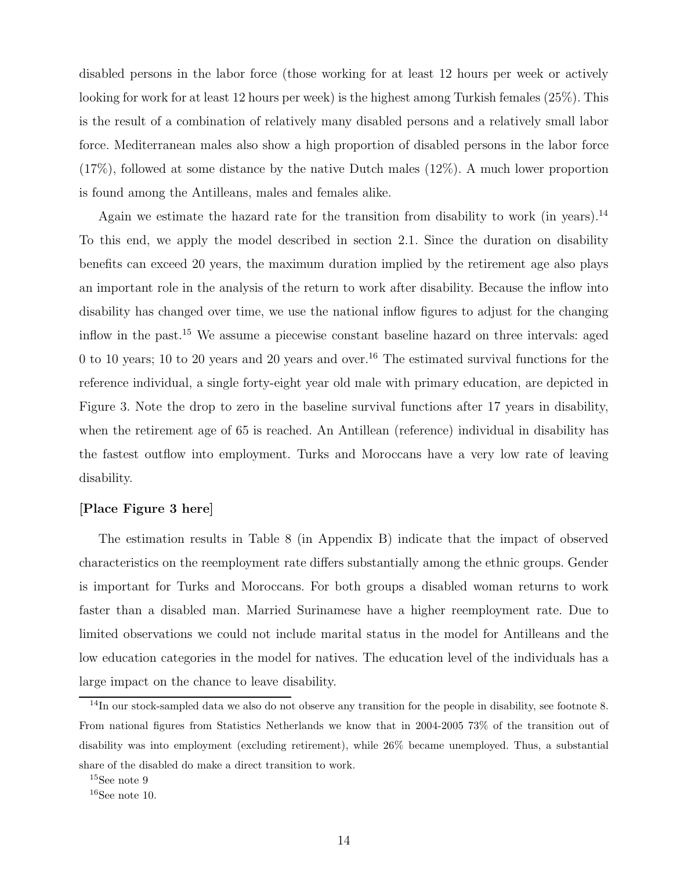disabled persons in the labor force (those working for at least 12 hours per week or actively looking for work for at least 12 hours per week) is the highest among Turkish females (25%). This is the result of a combination of relatively many disabled persons and a relatively small labor force. Mediterranean males also show a high proportion of disabled persons in the labor force (17%), followed at some distance by the native Dutch males (12%). A much lower proportion is found among the Antilleans, males and females alike.

Again we estimate the hazard rate for the transition from disability to work (in years).<sup>14</sup> To this end, we apply the model described in section 2.1. Since the duration on disability benefits can exceed 20 years, the maximum duration implied by the retirement age also plays an important role in the analysis of the return to work after disability. Because the inflow into disability has changed over time, we use the national inflow figures to adjust for the changing inflow in the past.<sup>15</sup> We assume a piecewise constant baseline hazard on three intervals: aged 0 to 10 years; 10 to 20 years and 20 years and over.<sup>16</sup> The estimated survival functions for the reference individual, a single forty-eight year old male with primary education, are depicted in Figure 3. Note the drop to zero in the baseline survival functions after 17 years in disability, when the retirement age of 65 is reached. An Antillean (reference) individual in disability has the fastest outflow into employment. Turks and Moroccans have a very low rate of leaving disability.

#### [Place Figure 3 here]

The estimation results in Table 8 (in Appendix B) indicate that the impact of observed characteristics on the reemployment rate differs substantially among the ethnic groups. Gender is important for Turks and Moroccans. For both groups a disabled woman returns to work faster than a disabled man. Married Surinamese have a higher reemployment rate. Due to limited observations we could not include marital status in the model for Antilleans and the low education categories in the model for natives. The education level of the individuals has a large impact on the chance to leave disability.

<sup>&</sup>lt;sup>14</sup>In our stock-sampled data we also do not observe any transition for the people in disability, see footnote 8. From national figures from Statistics Netherlands we know that in 2004-2005 73% of the transition out of disability was into employment (excluding retirement), while 26% became unemployed. Thus, a substantial share of the disabled do make a direct transition to work.

 $^{15}\mathrm{See}$ note $9$ 

 $16$ See note 10.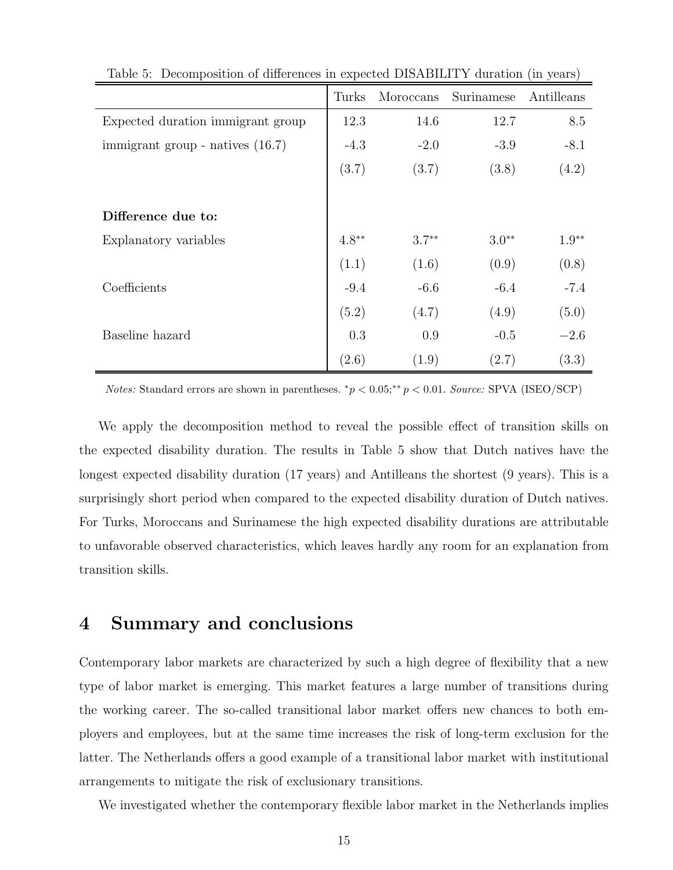|                                    | Turks   | Moroccans | Surinamese | Antilleans |
|------------------------------------|---------|-----------|------------|------------|
| Expected duration immigrant group  | 12.3    | 14.6      | 12.7       | 8.5        |
| immigrant group - natives $(16.7)$ | $-4.3$  | $-2.0$    | $-3.9$     | $-8.1$     |
|                                    | (3.7)   | (3.7)     | (3.8)      | (4.2)      |
|                                    |         |           |            |            |
| Difference due to:                 |         |           |            |            |
| Explanatory variables              | $4.8**$ | $3.7**$   | $3.0**$    | $1.9**$    |
|                                    | (1.1)   | (1.6)     | (0.9)      | (0.8)      |
| Coefficients                       | $-9.4$  | $-6.6$    | $-6.4$     | $-7.4$     |
|                                    | (5.2)   | (4.7)     | (4.9)      | (5.0)      |
| Baseline hazard                    | 0.3     | 0.9       | $-0.5$     | $-2.6$     |
|                                    | (2.6)   | (1.9)     | (2.7)      | (3.3)      |

Table 5: Decomposition of differences in expected DISABILITY duration (in years)

*Notes:* Standard errors are shown in parentheses.  $^*p < 0.05; ^{**}p < 0.01$ . Source: SPVA (ISEO/SCP)

We apply the decomposition method to reveal the possible effect of transition skills on the expected disability duration. The results in Table 5 show that Dutch natives have the longest expected disability duration (17 years) and Antilleans the shortest (9 years). This is a surprisingly short period when compared to the expected disability duration of Dutch natives. For Turks, Moroccans and Surinamese the high expected disability durations are attributable to unfavorable observed characteristics, which leaves hardly any room for an explanation from transition skills.

### 4 Summary and conclusions

Contemporary labor markets are characterized by such a high degree of flexibility that a new type of labor market is emerging. This market features a large number of transitions during the working career. The so-called transitional labor market offers new chances to both employers and employees, but at the same time increases the risk of long-term exclusion for the latter. The Netherlands offers a good example of a transitional labor market with institutional arrangements to mitigate the risk of exclusionary transitions.

We investigated whether the contemporary flexible labor market in the Netherlands implies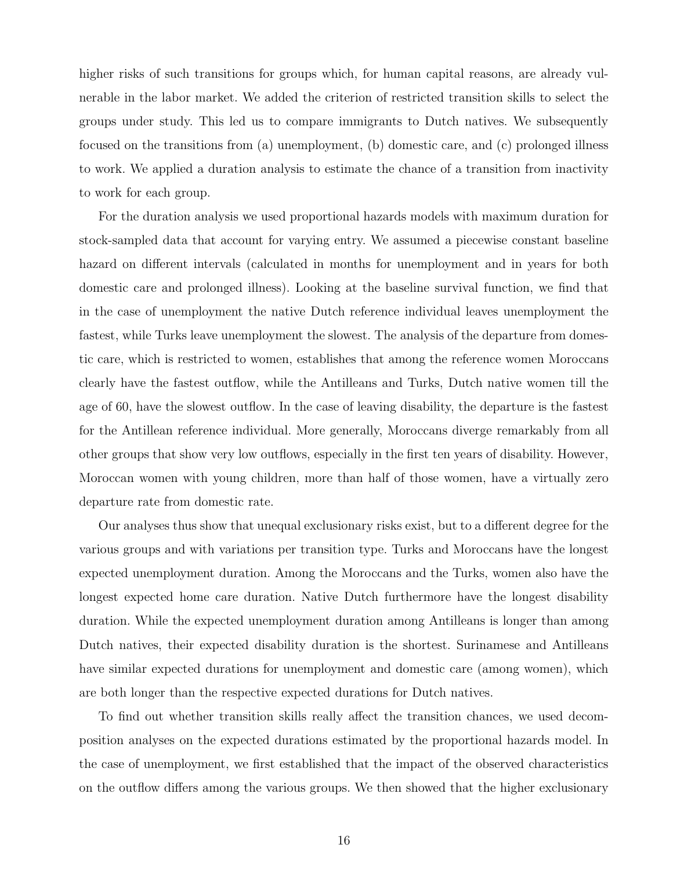higher risks of such transitions for groups which, for human capital reasons, are already vulnerable in the labor market. We added the criterion of restricted transition skills to select the groups under study. This led us to compare immigrants to Dutch natives. We subsequently focused on the transitions from (a) unemployment, (b) domestic care, and (c) prolonged illness to work. We applied a duration analysis to estimate the chance of a transition from inactivity to work for each group.

For the duration analysis we used proportional hazards models with maximum duration for stock-sampled data that account for varying entry. We assumed a piecewise constant baseline hazard on different intervals (calculated in months for unemployment and in years for both domestic care and prolonged illness). Looking at the baseline survival function, we find that in the case of unemployment the native Dutch reference individual leaves unemployment the fastest, while Turks leave unemployment the slowest. The analysis of the departure from domestic care, which is restricted to women, establishes that among the reference women Moroccans clearly have the fastest outflow, while the Antilleans and Turks, Dutch native women till the age of 60, have the slowest outflow. In the case of leaving disability, the departure is the fastest for the Antillean reference individual. More generally, Moroccans diverge remarkably from all other groups that show very low outflows, especially in the first ten years of disability. However, Moroccan women with young children, more than half of those women, have a virtually zero departure rate from domestic rate.

Our analyses thus show that unequal exclusionary risks exist, but to a different degree for the various groups and with variations per transition type. Turks and Moroccans have the longest expected unemployment duration. Among the Moroccans and the Turks, women also have the longest expected home care duration. Native Dutch furthermore have the longest disability duration. While the expected unemployment duration among Antilleans is longer than among Dutch natives, their expected disability duration is the shortest. Surinamese and Antilleans have similar expected durations for unemployment and domestic care (among women), which are both longer than the respective expected durations for Dutch natives.

To find out whether transition skills really affect the transition chances, we used decomposition analyses on the expected durations estimated by the proportional hazards model. In the case of unemployment, we first established that the impact of the observed characteristics on the outflow differs among the various groups. We then showed that the higher exclusionary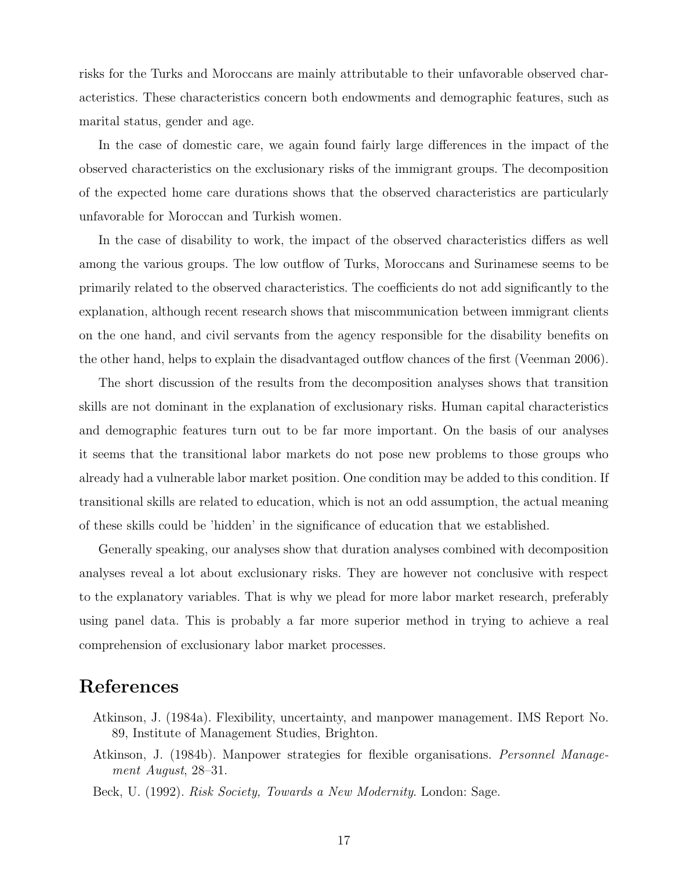risks for the Turks and Moroccans are mainly attributable to their unfavorable observed characteristics. These characteristics concern both endowments and demographic features, such as marital status, gender and age.

In the case of domestic care, we again found fairly large differences in the impact of the observed characteristics on the exclusionary risks of the immigrant groups. The decomposition of the expected home care durations shows that the observed characteristics are particularly unfavorable for Moroccan and Turkish women.

In the case of disability to work, the impact of the observed characteristics differs as well among the various groups. The low outflow of Turks, Moroccans and Surinamese seems to be primarily related to the observed characteristics. The coefficients do not add significantly to the explanation, although recent research shows that miscommunication between immigrant clients on the one hand, and civil servants from the agency responsible for the disability benefits on the other hand, helps to explain the disadvantaged outflow chances of the first (Veenman 2006).

The short discussion of the results from the decomposition analyses shows that transition skills are not dominant in the explanation of exclusionary risks. Human capital characteristics and demographic features turn out to be far more important. On the basis of our analyses it seems that the transitional labor markets do not pose new problems to those groups who already had a vulnerable labor market position. One condition may be added to this condition. If transitional skills are related to education, which is not an odd assumption, the actual meaning of these skills could be 'hidden' in the significance of education that we established.

Generally speaking, our analyses show that duration analyses combined with decomposition analyses reveal a lot about exclusionary risks. They are however not conclusive with respect to the explanatory variables. That is why we plead for more labor market research, preferably using panel data. This is probably a far more superior method in trying to achieve a real comprehension of exclusionary labor market processes.

# References

- Atkinson, J. (1984a). Flexibility, uncertainty, and manpower management. IMS Report No. 89, Institute of Management Studies, Brighton.
- Atkinson, J. (1984b). Manpower strategies for flexible organisations. Personnel Management August, 28–31.
- Beck, U. (1992). Risk Society, Towards a New Modernity. London: Sage.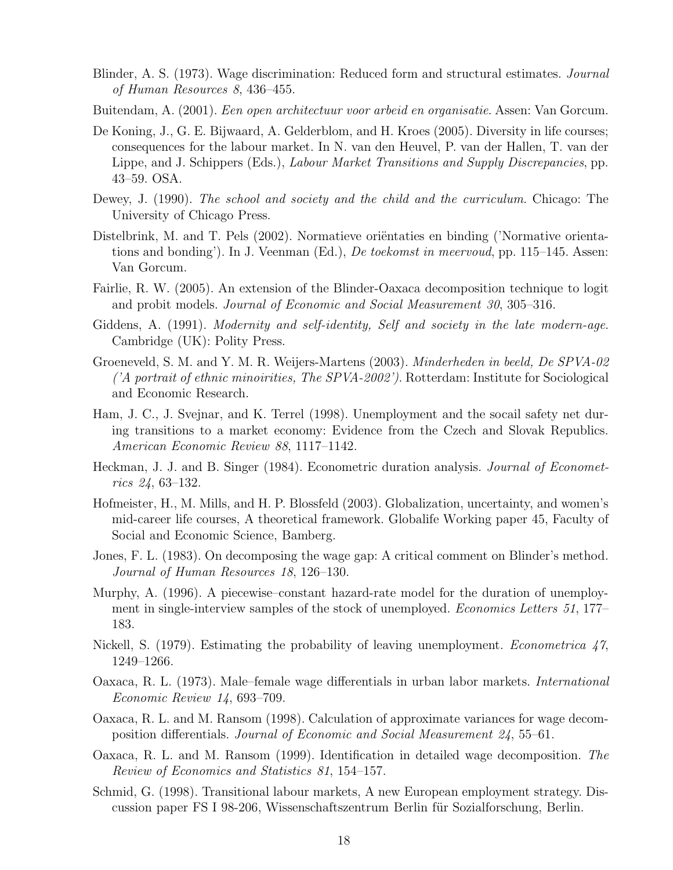- Blinder, A. S. (1973). Wage discrimination: Reduced form and structural estimates. Journal of Human Resources 8, 436–455.
- Buitendam, A. (2001). Een open architectuur voor arbeid en organisatie. Assen: Van Gorcum.
- De Koning, J., G. E. Bijwaard, A. Gelderblom, and H. Kroes (2005). Diversity in life courses; consequences for the labour market. In N. van den Heuvel, P. van der Hallen, T. van der Lippe, and J. Schippers (Eds.), *Labour Market Transitions and Supply Discrepancies*, pp. 43–59. OSA.
- Dewey, J. (1990). The school and society and the child and the curriculum. Chicago: The University of Chicago Press.
- Distelbrink, M. and T. Pels (2002). Normatieve orientaties en binding ('Normative orientations and bonding'). In J. Veenman (Ed.), *De toekomst in meervoud*, pp. 115–145. Assen: Van Gorcum.
- Fairlie, R. W. (2005). An extension of the Blinder-Oaxaca decomposition technique to logit and probit models. Journal of Economic and Social Measurement 30, 305–316.
- Giddens, A. (1991). *Modernity and self-identity, Self and society in the late modern-age.* Cambridge (UK): Polity Press.
- Groeneveld, S. M. and Y. M. R. Weijers-Martens (2003). Minderheden in beeld, De SPVA-02  $\it 'A$  portrait of ethnic minoirities, The SPVA-2002'). Rotterdam: Institute for Sociological and Economic Research.
- Ham, J. C., J. Svejnar, and K. Terrel (1998). Unemployment and the socail safety net during transitions to a market economy: Evidence from the Czech and Slovak Republics. American Economic Review 88, 1117–1142.
- Heckman, J. J. and B. Singer (1984). Econometric duration analysis. *Journal of Economet*rics 24, 63–132.
- Hofmeister, H., M. Mills, and H. P. Blossfeld (2003). Globalization, uncertainty, and women's mid-career life courses, A theoretical framework. Globalife Working paper 45, Faculty of Social and Economic Science, Bamberg.
- Jones, F. L. (1983). On decomposing the wage gap: A critical comment on Blinder's method. Journal of Human Resources 18, 126–130.
- Murphy, A. (1996). A piecewise–constant hazard-rate model for the duration of unemployment in single-interview samples of the stock of unemployed. *Economics Letters 51*, 177– 183.
- Nickell, S. (1979). Estimating the probability of leaving unemployment. *Econometrica* 47, 1249–1266.
- Oaxaca, R. L. (1973). Male–female wage differentials in urban labor markets. International Economic Review 14, 693–709.
- Oaxaca, R. L. and M. Ransom (1998). Calculation of approximate variances for wage decomposition differentials. Journal of Economic and Social Measurement 24, 55–61.
- Oaxaca, R. L. and M. Ransom (1999). Identification in detailed wage decomposition. The Review of Economics and Statistics 81, 154–157.
- Schmid, G. (1998). Transitional labour markets, A new European employment strategy. Discussion paper FS I 98-206, Wissenschaftszentrum Berlin für Sozialforschung, Berlin.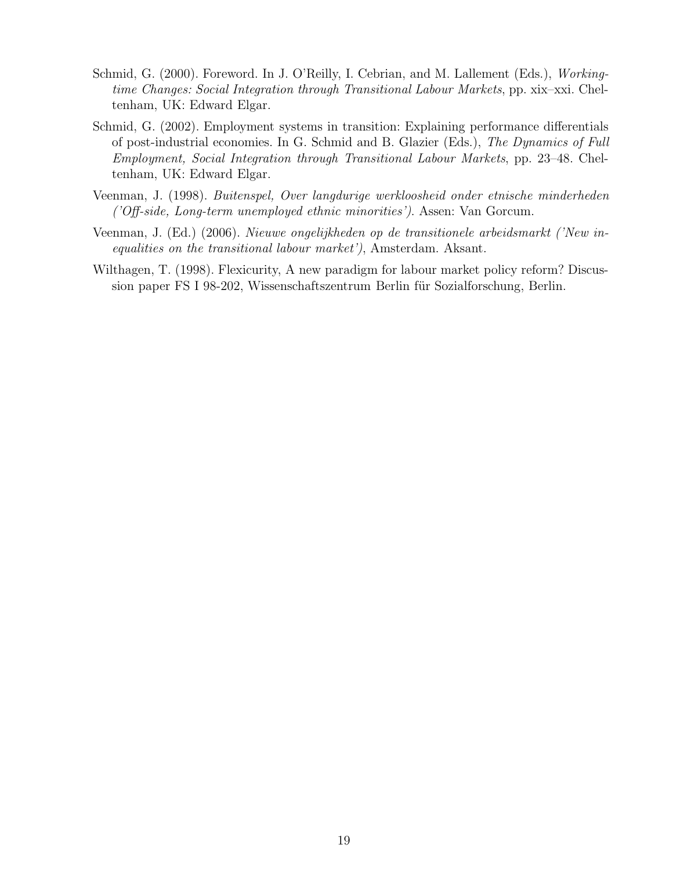- Schmid, G. (2000). Foreword. In J. O'Reilly, I. Cebrian, and M. Lallement (Eds.), Workingtime Changes: Social Integration through Transitional Labour Markets, pp. xix–xxi. Cheltenham, UK: Edward Elgar.
- Schmid, G. (2002). Employment systems in transition: Explaining performance differentials of post-industrial economies. In G. Schmid and B. Glazier (Eds.), The Dynamics of Full Employment, Social Integration through Transitional Labour Markets, pp. 23–48. Cheltenham, UK: Edward Elgar.
- Veenman, J. (1998). Buitenspel, Over langdurige werkloosheid onder etnische minderheden ('Off-side, Long-term unemployed ethnic minorities'). Assen: Van Gorcum.
- Veenman, J. (Ed.) (2006). Nieuwe ongelijkheden op de transitionele arbeidsmarkt ('New inequalities on the transitional labour market'), Amsterdam. Aksant.
- Wilthagen, T. (1998). Flexicurity, A new paradigm for labour market policy reform? Discussion paper FS I 98-202, Wissenschaftszentrum Berlin für Sozialforschung, Berlin.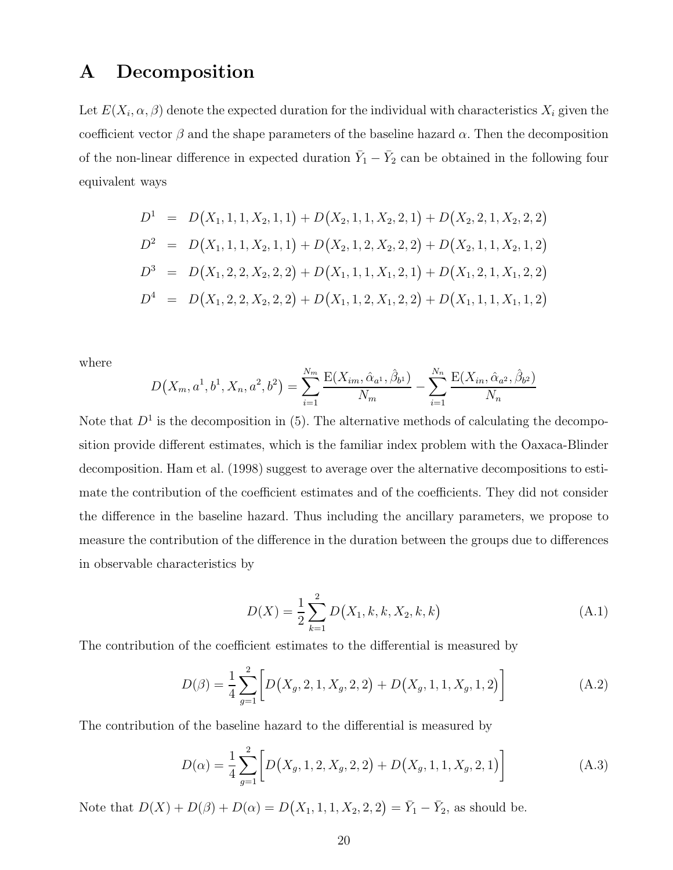## A Decomposition

Let  $E(X_i, \alpha, \beta)$  denote the expected duration for the individual with characteristics  $X_i$  given the coefficient vector  $\beta$  and the shape parameters of the baseline hazard  $\alpha$ . Then the decomposition of the non-linear difference in expected duration  $\bar{Y}_1 - \bar{Y}_2$  can be obtained in the following four equivalent ways

$$
D1 = D(X1, 1, 1, X2, 1, 1) + D(X2, 1, 1, X2, 2, 1) + D(X2, 2, 1, X2, 2, 2)
$$
  
\n
$$
D2 = D(X1, 1, 1, X2, 1, 1) + D(X2, 1, 2, X2, 2, 2) + D(X2, 1, 1, X2, 1, 2)
$$
  
\n
$$
D3 = D(X1, 2, 2, X2, 2, 2) + D(X1, 1, 1, X1, 2, 1) + D(X1, 2, 1, X1, 2, 2)
$$
  
\n
$$
D4 = D(X1, 2, 2, X2, 2, 2) + D(X1, 1, 2, X1, 2, 2) + D(X1, 1, 1, X1, 1, 2)
$$

where

$$
D(X_m, a^1, b^1, X_n, a^2, b^2) = \sum_{i=1}^{N_m} \frac{E(X_{im}, \hat{\alpha}_{a^1}, \hat{\beta}_{b^1})}{N_m} - \sum_{i=1}^{N_n} \frac{E(X_{in}, \hat{\alpha}_{a^2}, \hat{\beta}_{b^2})}{N_n}
$$

Note that  $D^1$  is the decomposition in (5). The alternative methods of calculating the decomposition provide different estimates, which is the familiar index problem with the Oaxaca-Blinder decomposition. Ham et al. (1998) suggest to average over the alternative decompositions to estimate the contribution of the coefficient estimates and of the coefficients. They did not consider the difference in the baseline hazard. Thus including the ancillary parameters, we propose to measure the contribution of the difference in the duration between the groups due to differences in observable characteristics by

$$
D(X) = \frac{1}{2} \sum_{k=1}^{2} D(X_1, k, k, X_2, k, k)
$$
 (A.1)

The contribution of the coefficient estimates to the differential is measured by

$$
D(\beta) = \frac{1}{4} \sum_{g=1}^{2} \left[ D(X_g, 2, 1, X_g, 2, 2) + D(X_g, 1, 1, X_g, 1, 2) \right]
$$
 (A.2)

The contribution of the baseline hazard to the differential is measured by

$$
D(\alpha) = \frac{1}{4} \sum_{g=1}^{2} \left[ D(X_g, 1, 2, X_g, 2, 2) + D(X_g, 1, 1, X_g, 2, 1) \right]
$$
(A.3)

Note that  $D(X) + D(\beta) + D(\alpha) = D(X_1, 1, 1, X_2, 2, 2) = \overline{Y}_1 - \overline{Y}_2$ , as should be.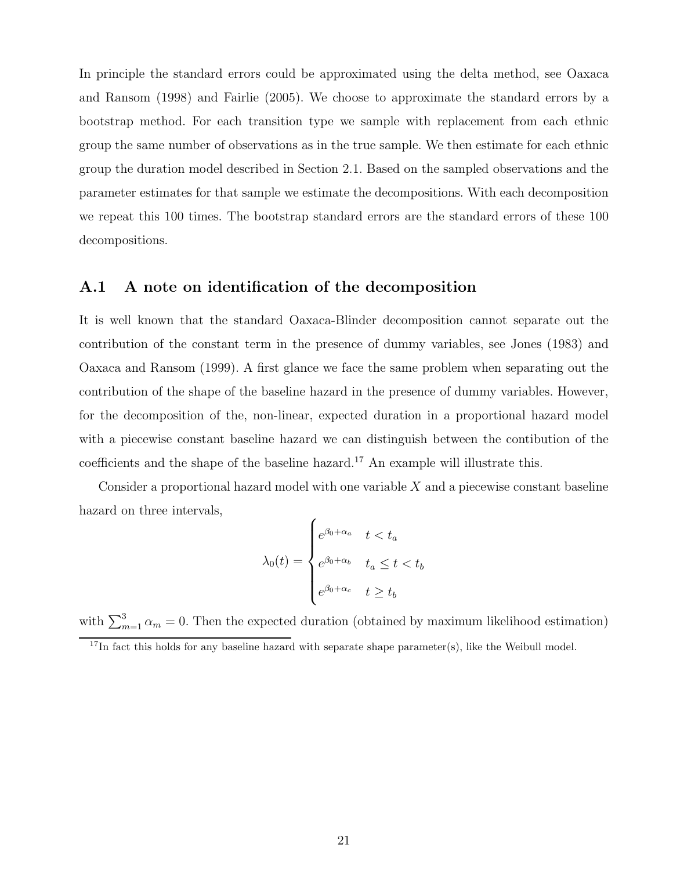In principle the standard errors could be approximated using the delta method, see Oaxaca and Ransom (1998) and Fairlie (2005). We choose to approximate the standard errors by a bootstrap method. For each transition type we sample with replacement from each ethnic group the same number of observations as in the true sample. We then estimate for each ethnic group the duration model described in Section 2.1. Based on the sampled observations and the parameter estimates for that sample we estimate the decompositions. With each decomposition we repeat this 100 times. The bootstrap standard errors are the standard errors of these 100 decompositions.

#### A.1 A note on identification of the decomposition

It is well known that the standard Oaxaca-Blinder decomposition cannot separate out the contribution of the constant term in the presence of dummy variables, see Jones (1983) and Oaxaca and Ransom (1999). A first glance we face the same problem when separating out the contribution of the shape of the baseline hazard in the presence of dummy variables. However, for the decomposition of the, non-linear, expected duration in a proportional hazard model with a piecewise constant baseline hazard we can distinguish between the contibution of the coefficients and the shape of the baseline hazard.<sup>17</sup> An example will illustrate this.

Consider a proportional hazard model with one variable  $X$  and a piecewise constant baseline hazard on three intervals,

$$
\lambda_0(t) = \begin{cases} e^{\beta_0 + \alpha_a} & t < t_a \\ e^{\beta_0 + \alpha_b} & t_a \le t < t_b \\ e^{\beta_0 + \alpha_c} & t \ge t_b \end{cases}
$$

with  $\sum_{m=1}^{3} \alpha_m = 0$ . Then the expected duration (obtained by maximum likelihood estimation)

 $17$ In fact this holds for any baseline hazard with separate shape parameter(s), like the Weibull model.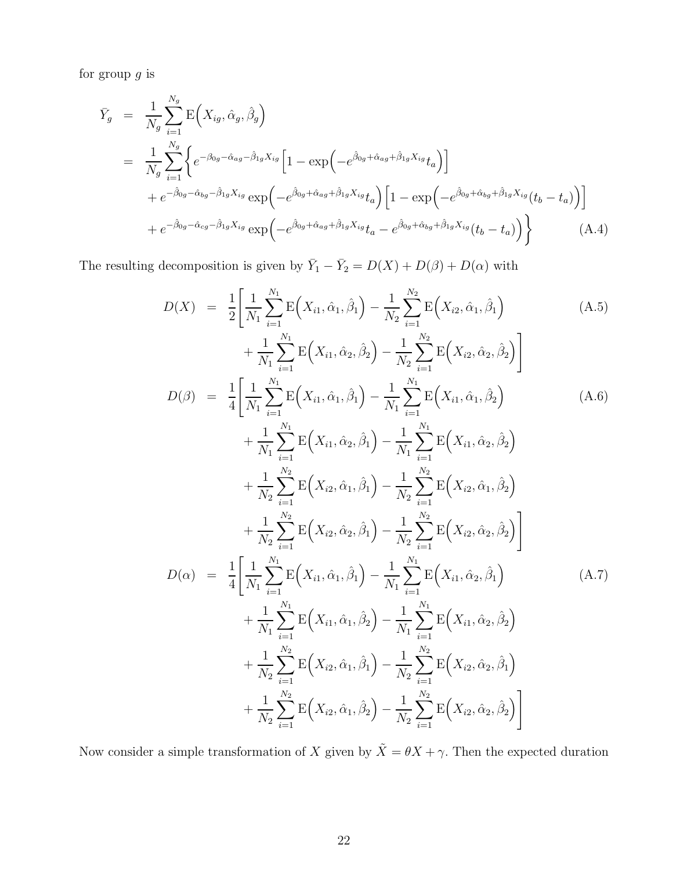for group  $g$  is

$$
\begin{split}\n\bar{Y}_g &= \frac{1}{N_g} \sum_{i=1}^{N_g} \mathcal{E}\Big(X_{ig}, \hat{\alpha}_g, \hat{\beta}_g\Big) \\
&= \frac{1}{N_g} \sum_{i=1}^{N_g} \Big\{ e^{-\beta_{0g} - \hat{\alpha}_{ag} - \hat{\beta}_{1g} X_{ig}} \Big[ 1 - \exp\Big(-e^{\hat{\beta}_{0g} + \hat{\alpha}_{ag} + \hat{\beta}_{1g} X_{ig}} t_a \Big) \Big] \\
&+ e^{-\hat{\beta}_{0g} - \hat{\alpha}_{bg} - \hat{\beta}_{1g} X_{ig}} \exp\Big(-e^{\hat{\beta}_{0g} + \hat{\alpha}_{ag} + \hat{\beta}_{1g} X_{ig}} t_a \Big) \Big[ 1 - \exp\Big(-e^{\hat{\beta}_{0g} + \hat{\alpha}_{bg} + \hat{\beta}_{1g} X_{ig}} (t_b - t_a) \Big) \Big] \\
&+ e^{-\hat{\beta}_{0g} - \hat{\alpha}_{cg} - \hat{\beta}_{1g} X_{ig}} \exp\Big(-e^{\hat{\beta}_{0g} + \hat{\alpha}_{ag} + \hat{\beta}_{1g} X_{ig}} t_a - e^{\hat{\beta}_{0g} + \hat{\alpha}_{bg} + \hat{\beta}_{1g} X_{ig}} (t_b - t_a) \Big) \Big\} \n\end{split} \tag{A.4}
$$

The resulting decomposition is given by  $\overline{Y}_1 - \overline{Y}_2 = D(X) + D(\beta) + D(\alpha)$  with

$$
D(X) = \frac{1}{2} \left[ \frac{1}{N_1} \sum_{i=1}^{N_1} E(X_{i1}, \hat{\alpha}_1, \hat{\beta}_1) - \frac{1}{N_2} \sum_{i=1}^{N_2} E(X_{i2}, \hat{\alpha}_1, \hat{\beta}_1) \right]
$$
\n
$$
+ \frac{1}{N_1} \sum_{i=1}^{N_1} E(X_{i1}, \hat{\alpha}_2, \hat{\beta}_2) - \frac{1}{N_2} \sum_{i=1}^{N_2} E(X_{i2}, \hat{\alpha}_2, \hat{\beta}_2) \right]
$$
\n
$$
D(\beta) = \frac{1}{4} \left[ \frac{1}{N_1} \sum_{i=1}^{N_1} E(X_{i1}, \hat{\alpha}_1, \hat{\beta}_1) - \frac{1}{N_1} \sum_{i=1}^{N_1} E(X_{i1}, \hat{\alpha}_1, \hat{\beta}_2) + \frac{1}{N_1} \sum_{i=1}^{N_1} E(X_{i1}, \hat{\alpha}_2, \hat{\beta}_1) - \frac{1}{N_1} \sum_{i=1}^{N_1} E(X_{i1}, \hat{\alpha}_2, \hat{\beta}_2) + \frac{1}{N_1} \sum_{i=1}^{N_2} E(X_{i2}, \hat{\alpha}_1, \hat{\beta}_1) - \frac{1}{N_2} \sum_{i=1}^{N_2} E(X_{i3}, \hat{\alpha}_1, \hat{\beta}_2) \right]
$$
\n(A.6)

$$
+\frac{1}{N_2}\sum_{i=1}^{N_2} \mathbf{E}\Big(X_{i2},\hat{\alpha}_1,\hat{\beta}_1\Big) - \frac{1}{N_2}\sum_{i=1}^{N_2} \mathbf{E}\Big(X_{i2},\hat{\alpha}_1,\hat{\beta}_2\Big) \n+\frac{1}{N_2}\sum_{i=1}^{N_2} \mathbf{E}\Big(X_{i2},\hat{\alpha}_2,\hat{\beta}_1\Big) - \frac{1}{N_2}\sum_{i=1}^{N_2} \mathbf{E}\Big(X_{i2},\hat{\alpha}_2,\hat{\beta}_2\Big) \nD(\alpha) = \frac{1}{4}\Big[\frac{1}{N_1}\sum_{i=1}^{N_1} \mathbf{E}\Big(X_{i1},\hat{\alpha}_1,\hat{\beta}_1\Big) - \frac{1}{N_1}\sum_{i=1}^{N_1} \mathbf{E}\Big(X_{i1},\hat{\alpha}_2,\hat{\beta}_1\Big) \n+\frac{1}{N_1}\sum_{i=1}^{N_1} \mathbf{E}\Big(X_{i1},\hat{\alpha}_1,\hat{\beta}_2\Big) - \frac{1}{N_1}\sum_{i=1}^{N_1} \mathbf{E}\Big(X_{i1},\hat{\alpha}_2,\hat{\beta}_2\Big) \n+\frac{1}{N_2}\sum_{i=1}^{N_2} \mathbf{E}\Big(X_{i2},\hat{\alpha}_1,\hat{\beta}_1\Big) - \frac{1}{N_2}\sum_{i=1}^{N_2} \mathbf{E}\Big(X_{i2},\hat{\alpha}_2,\hat{\beta}_1\Big) \n+\frac{1}{N_2}\sum_{i=1}^{N_2} \mathbf{E}\Big(X_{i2},\hat{\alpha}_1,\hat{\beta}_2\Big) - \frac{1}{N_2}\sum_{i=1}^{N_2} \mathbf{E}\Big(X_{i2},\hat{\alpha}_2,\hat{\beta}_2\Big)
$$

Now consider a simple transformation of X given by  $\tilde{X} = \theta X + \gamma$ . Then the expected duration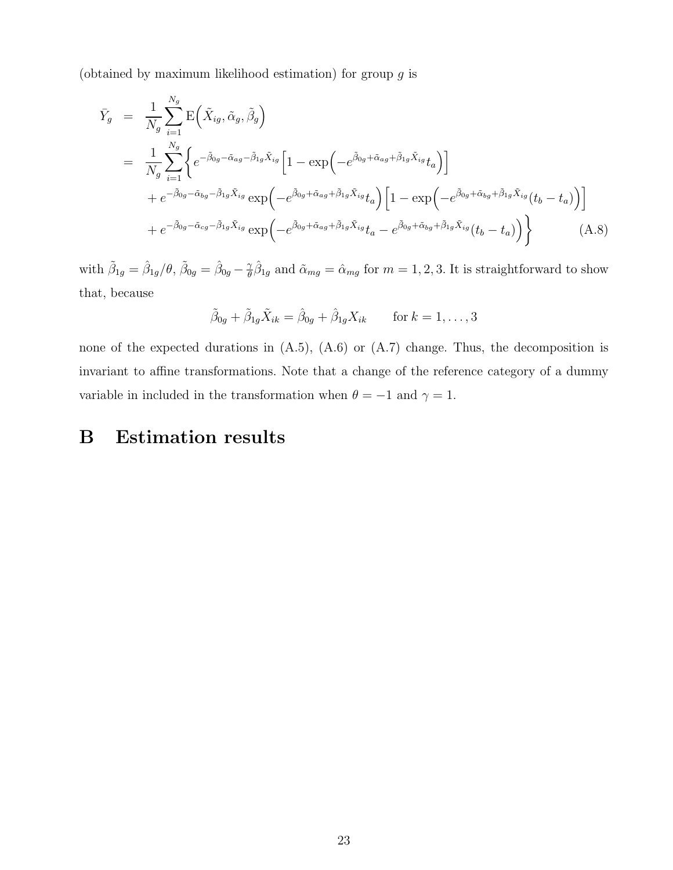(obtained by maximum likelihood estimation) for group  $q$  is

$$
\begin{split}\n\bar{Y}_{g} &= \frac{1}{N_{g}} \sum_{i=1}^{N_{g}} \mathbf{E} \Big( \tilde{X}_{ig}, \tilde{\alpha}_{g}, \tilde{\beta}_{g} \Big) \\
&= \frac{1}{N_{g}} \sum_{i=1}^{N_{g}} \Big\{ e^{-\tilde{\beta}_{0g} - \tilde{\alpha}_{ag} - \tilde{\beta}_{1g} \tilde{X}_{ig}} \Big[ 1 - \exp \Big( -e^{\tilde{\beta}_{0g} + \tilde{\alpha}_{ag} + \tilde{\beta}_{1g} \tilde{X}_{ig}} t_{a} \Big) \Big] \\
&+ e^{-\tilde{\beta}_{0g} - \tilde{\alpha}_{bg} - \tilde{\beta}_{1g} \tilde{X}_{ig}} \exp \Big( -e^{\tilde{\beta}_{0g} + \tilde{\alpha}_{ag} + \tilde{\beta}_{1g} \tilde{X}_{ig}} t_{a} \Big) \Big[ 1 - \exp \Big( -e^{\tilde{\beta}_{0g} + \tilde{\alpha}_{bg} + \tilde{\beta}_{1g} \tilde{X}_{ig}} (t_{b} - t_{a}) \Big) \Big] \\
&+ e^{-\tilde{\beta}_{0g} - \tilde{\alpha}_{cg} - \tilde{\beta}_{1g} \tilde{X}_{ig}} \exp \Big( -e^{\tilde{\beta}_{0g} + \tilde{\alpha}_{ag} + \tilde{\beta}_{1g} \tilde{X}_{ig}} t_{a} - e^{\tilde{\beta}_{0g} + \tilde{\alpha}_{bg} + \tilde{\beta}_{1g} \tilde{X}_{ig}} (t_{b} - t_{a}) \Big) \Big\} \end{split} \tag{A.8}
$$

with  $\tilde{\beta}_{1g}=\hat{\beta}_{1g}/\theta, \, \tilde{\beta}_{0g}=\hat{\beta}_{0g}-\frac{\gamma}{\theta}$  $\hat{\theta}^{\gamma}_{1g}$  and  $\tilde{\alpha}_{mg} = \hat{\alpha}_{mg}$  for  $m = 1, 2, 3$ . It is straightforward to show that, because

$$
\tilde{\beta}_{0g} + \tilde{\beta}_{1g}\tilde{X}_{ik} = \hat{\beta}_{0g} + \hat{\beta}_{1g}X_{ik} \quad \text{for } k = 1, \dots, 3
$$

none of the expected durations in (A.5), (A.6) or (A.7) change. Thus, the decomposition is invariant to affine transformations. Note that a change of the reference category of a dummy variable in included in the transformation when  $\theta = -1$  and  $\gamma = 1$ .

# B Estimation results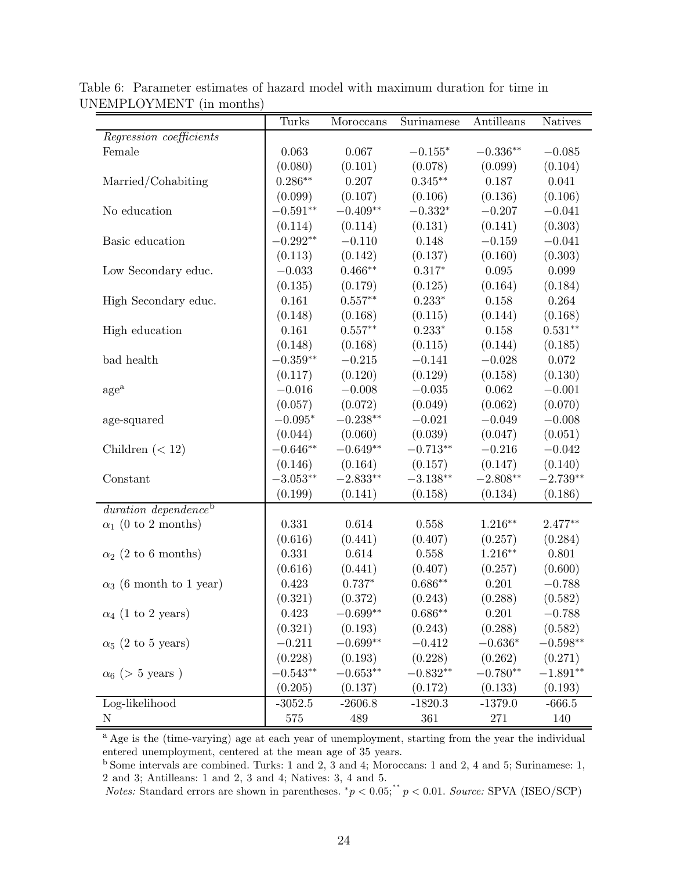|                                  | Turks      | Moroccans           | Surinamese      | Antilleans          | <b>Natives</b> |
|----------------------------------|------------|---------------------|-----------------|---------------------|----------------|
| Regression coefficients          |            |                     |                 |                     |                |
| Female                           | 0.063      | 0.067               | $-0.155*$       | $-0.336^{\ast\ast}$ | $-0.085$       |
|                                  | (0.080)    | (0.101)             | (0.078)         | (0.099)             | (0.104)        |
| Married/Cohabiting               | $0.286**$  | 0.207               | $0.345**$       | 0.187               | 0.041          |
|                                  | (0.099)    | (0.107)             | (0.106)         | (0.136)             | (0.106)        |
| No education                     | $-0.591**$ | $-0.409**$          | $-0.332^{\ast}$ | $-0.207$            | $-0.041$       |
|                                  | (0.114)    | (0.114)             | (0.131)         | (0.141)             | (0.303)        |
| Basic education                  | $-0.292**$ | $-0.110$            | 0.148           | $-0.159$            | $-0.041$       |
|                                  | (0.113)    | (0.142)             | (0.137)         | (0.160)             | (0.303)        |
| Low Secondary educ.              | $-0.033$   | $0.466**$           | $0.317*$        | 0.095               | 0.099          |
|                                  | (0.135)    | (0.179)             | (0.125)         | (0.164)             | (0.184)        |
| High Secondary educ.             | 0.161      | $0.557**$           | $0.233*$        | 0.158               | 0.264          |
|                                  | (0.148)    | (0.168)             | (0.115)         | (0.144)             | (0.168)        |
| High education                   | 0.161      | $0.557**$           | $0.233*$        | $0.158\,$           | $0.531**$      |
|                                  | (0.148)    | (0.168)             | (0.115)         | (0.144)             | (0.185)        |
| bad health                       | $-0.359**$ | $-0.215$            | $-0.141$        | $-0.028$            | $0.072\,$      |
|                                  | (0.117)    | (0.120)             | (0.129)         | (0.158)             | (0.130)        |
| $\rm age^a$                      | $-0.016$   | $-0.008$            | $-0.035$        | 0.062               | $-0.001$       |
|                                  | (0.057)    | (0.072)             | (0.049)         | (0.062)             | (0.070)        |
| age-squared                      | $-0.095*$  | $-0.238^{\ast\ast}$ | $-0.021$        | $-0.049$            | $-0.008$       |
|                                  | (0.044)    | (0.060)             | (0.039)         | (0.047)             | (0.051)        |
| Children $(< 12)$                | $-0.646**$ | $-0.649**$          | $-0.713**$      | $-0.216$            | $-0.042$       |
|                                  | (0.146)    | (0.164)             | (0.157)         | (0.147)             | (0.140)        |
| Constant                         | $-3.053**$ | $-2.833**$          | $-3.138***$     | $-2.808**$          | $-2.739**$     |
|                                  | (0.199)    | (0.141)             | (0.158)         | (0.134)             | (0.186)        |
| duration dependence <sup>b</sup> |            |                     |                 |                     |                |
| $\alpha_1$ (0 to 2 months)       | 0.331      | 0.614               | 0.558           | $1.216**$           | $2.477**$      |
|                                  | (0.616)    | (0.441)             | (0.407)         | (0.257)             | (0.284)        |
| $\alpha_2$ (2 to 6 months)       | 0.331      | 0.614               | 0.558           | $1.216**$           | 0.801          |
|                                  | (0.616)    | (0.441)             | (0.407)         | (0.257)             | (0.600)        |
| $\alpha_3$ (6 month to 1 year)   | 0.423      | $0.737*$            | $0.686**$       | 0.201               | $-0.788$       |
|                                  | (0.321)    | (0.372)             | (0.243)         | (0.288)             | (0.582)        |
| $\alpha_4$ (1 to 2 years)        | 0.423      | $-0.699**$          | $0.686**$       | 0.201               | $-0.788$       |
|                                  | (0.321)    | (0.193)             | (0.243)         | (0.288)             | (0.582)        |
| $\alpha_5$ (2 to 5 years)        | $-0.211$   | $-0.699^{\ast\ast}$ | $-0.412$        | $-0.636^{\ast}$     | $-0.598**$     |
|                                  | (0.228)    | (0.193)             | (0.228)         | (0.262)             | (0.271)        |
| $\alpha_6$ (> 5 years)           | $-0.543**$ | $-0.653**$          | $-0.832**$      | $-0.780^{\ast\ast}$ | $-1.891**$     |
|                                  | (0.205)    | (0.137)             | (0.172)         | (0.133)             | (0.193)        |
| Log-likelihood                   | $-3052.5$  | $-2606.8$           | $-1820.3$       | $-1379.0$           | $-666.5$       |
| N                                | 575        | 489                 | $361\,$         | 271                 | 140            |

Table 6: Parameter estimates of hazard model with maximum duration for time in UNEMPLOYMENT (in months)

<sup>a</sup> Age is the (time-varying) age at each year of unemployment, starting from the year the individual entered unemployment, centered at the mean age of 35 years.

<sup>b</sup> Some intervals are combined. Turks: 1 and 2, 3 and 4; Moroccans: 1 and 2, 4 and 5; Surinamese: 1, 2 and 3; Antilleans: 1 and 2, 3 and 4; Natives: 3, 4 and 5.

 $Notes: Standard errors are shown in parentheses.$ <sup>\*</sup> $p < 0.05$ ;<sup>\*\*</sup> $p < 0.01$ . Source: SPVA (ISEO/SCP)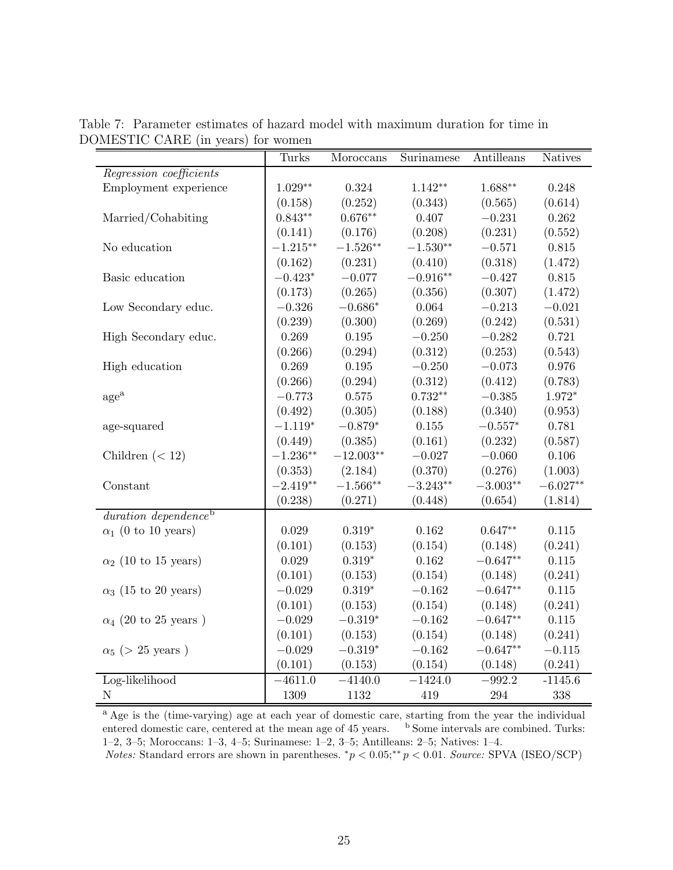|                                  | Turks       | Moroccans       | Surinamese | Antilleans | <b>Natives</b> |
|----------------------------------|-------------|-----------------|------------|------------|----------------|
| Regression coefficients          |             |                 |            |            |                |
| Employment experience            | $1.029**$   | $\,0.324\,$     | $1.142**$  | $1.688**$  | 0.248          |
|                                  | (0.158)     | (0.252)         | (0.343)    | (0.565)    | (0.614)        |
| Married/Cohabiting               | $0.843**$   | $0.676**$       | 0.407      | $-0.231$   | 0.262          |
|                                  | (0.141)     | (0.176)         | (0.208)    | (0.231)    | (0.552)        |
| No education                     | $-1.215***$ | $-1.526**$      | $-1.530**$ | $-0.571$   | $0.815\,$      |
|                                  | (0.162)     | (0.231)         | (0.410)    | (0.318)    | (1.472)        |
| Basic education                  | $-0.423*$   | $-0.077$        | $-0.916**$ | $-0.427$   | 0.815          |
|                                  | (0.173)     | (0.265)         | (0.356)    | (0.307)    | (1.472)        |
| Low Secondary educ.              | $-0.326$    | $-0.686*$       | 0.064      | $-0.213$   | $-0.021$       |
|                                  | (0.239)     | (0.300)         | (0.269)    | (0.242)    | (0.531)        |
| High Secondary educ.             | 0.269       | $0.195\,$       | $-0.250$   | $-0.282$   | 0.721          |
|                                  | (0.266)     | (0.294)         | (0.312)    | (0.253)    | (0.543)        |
| High education                   | 0.269       | $0.195\,$       | $-0.250$   | $-0.073$   | $0.976\,$      |
|                                  | (0.266)     | (0.294)         | (0.312)    | (0.412)    | (0.783)        |
| age <sup>a</sup>                 | $-0.773$    | 0.575           | $0.732**$  | $-0.385$   | $1.972*$       |
|                                  | (0.492)     | (0.305)         | (0.188)    | (0.340)    | (0.953)        |
| age-squared                      | $-1.119*$   | $-0.879*$       | $0.155\,$  | $-0.557*$  | 0.781          |
|                                  | (0.449)     | (0.385)         | (0.161)    | (0.232)    | (0.587)        |
| Children $(< 12)$                | $-1.236**$  | $-12.003**$     | $-0.027$   | $-0.060$   | 0.106          |
|                                  | (0.353)     | (2.184)         | (0.370)    | (0.276)    | (1.003)        |
| Constant                         | $-2.419**$  | $-1.566**$      | $-3.243**$ | $-3.003**$ | $-6.027**$     |
|                                  | (0.238)     | (0.271)         | (0.448)    | (0.654)    | (1.814)        |
| duration dependence <sup>b</sup> |             |                 |            |            |                |
| $\alpha_1$ (0 to 10 years)       | 0.029       | $0.319^{\ast}$  | 0.162      | $0.647**$  | $0.115\,$      |
|                                  | (0.101)     | (0.153)         | (0.154)    | (0.148)    | (0.241)        |
| $\alpha_2$ (10 to 15 years)      | 0.029       | $0.319^{\ast}$  | 0.162      | $-0.647**$ | $0.115\,$      |
|                                  | (0.101)     | (0.153)         | (0.154)    | (0.148)    | (0.241)        |
| $\alpha_3$ (15 to 20 years)      | $-0.029$    | $0.319^{\ast}$  | $-0.162$   | $-0.647**$ | 0.115          |
|                                  | (0.101)     | (0.153)         | (0.154)    | (0.148)    | (0.241)        |
| $\alpha_4$ (20 to 25 years)      | $-0.029$    | $-0.319*$       | $-0.162$   | $-0.647**$ | $0.115\,$      |
|                                  | (0.101)     | (0.153)         | (0.154)    | (0.148)    | (0.241)        |
| $\alpha_5$ (> 25 years)          | $-0.029$    | $-0.319^{\ast}$ | $-0.162$   | $-0.647**$ | $-0.115$       |
|                                  | (0.101)     | (0.153)         | (0.154)    | (0.148)    | (0.241)        |
| Log-likelihood                   | $-4611.0$   | $-4140.0$       | $-1424.0$  | $-992.2$   | $-1145.6$      |
| $\mathbf N$                      | 1309        | 1132            | 419        | $\,294$    | 338            |

Table 7: Parameter estimates of hazard model with maximum duration for time in DOMESTIC CARE (in years) for women

<sup>a</sup> Age is the (time-varying) age at each year of domestic care, starting from the year the individual entered domestic care, centered at the mean age of 45 years. b Some intervals are combined. Turks: 1–2, 3–5; Moroccans: 1–3, 4–5; Surinamese: 1–2, 3–5; Antilleans: 2–5; Natives: 1–4.

Notes: Standard errors are shown in parentheses.  $^*p < 0.05; ^{**}p < 0.01$ . Source: SPVA (ISEO/SCP)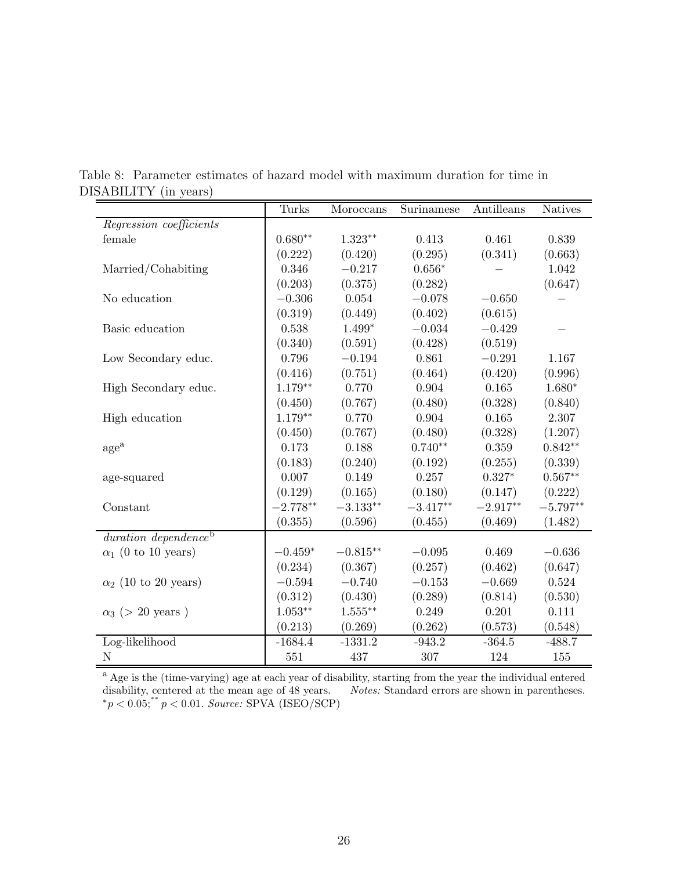|                                  | Turks      | Moroccans  | Surinamese | Antilleans | <b>Natives</b> |
|----------------------------------|------------|------------|------------|------------|----------------|
| Regression coefficients          |            |            |            |            |                |
| female                           | $0.680**$  | $1.323**$  | 0.413      | 0.461      | 0.839          |
|                                  | (0.222)    | (0.420)    | (0.295)    | (0.341)    | (0.663)        |
| Married/Cohabiting               | 0.346      | $-0.217$   | $0.656*$   |            | 1.042          |
|                                  | (0.203)    | (0.375)    | (0.282)    |            | (0.647)        |
| No education                     | $-0.306$   | 0.054      | $-0.078$   | $-0.650$   |                |
|                                  | (0.319)    | (0.449)    | (0.402)    | (0.615)    |                |
| Basic education                  | 0.538      | $1.499*$   | $-0.034$   | $-0.429$   |                |
|                                  | (0.340)    | (0.591)    | (0.428)    | (0.519)    |                |
| Low Secondary educ.              | 0.796      | $-0.194$   | 0.861      | $-0.291$   | 1.167          |
|                                  | (0.416)    | (0.751)    | (0.464)    | (0.420)    | (0.996)        |
| High Secondary educ.             | $1.179**$  | 0.770      | 0.904      | 0.165      | $1.680*$       |
|                                  | (0.450)    | (0.767)    | (0.480)    | (0.328)    | (0.840)        |
| High education                   | $1.179**$  | 0.770      | 0.904      | 0.165      | 2.307          |
|                                  | (0.450)    | (0.767)    | (0.480)    | (0.328)    | (1.207)        |
| $\rm{age}^{\rm{a}}$              | 0.173      | 0.188      | $0.740**$  | 0.359      | $0.842**$      |
|                                  | (0.183)    | (0.240)    | (0.192)    | (0.255)    | (0.339)        |
| age-squared                      | 0.007      | 0.149      | 0.257      | $0.327*$   | $0.567**$      |
|                                  | (0.129)    | (0.165)    | (0.180)    | (0.147)    | (0.222)        |
| Constant                         | $-2.778**$ | $-3.133**$ | $-3.417**$ | $-2.917**$ | $-5.797**$     |
|                                  | (0.355)    | (0.596)    | (0.455)    | (0.469)    | (1.482)        |
| duration dependence <sup>b</sup> |            |            |            |            |                |
| $\alpha_1$ (0 to 10 years)       | $-0.459*$  | $-0.815**$ | $-0.095$   | 0.469      | $-0.636$       |
|                                  | (0.234)    | (0.367)    | (0.257)    | (0.462)    | (0.647)        |
| $\alpha_2$ (10 to 20 years)      | $-0.594$   | $-0.740$   | $-0.153$   | $-0.669$   | 0.524          |
|                                  | (0.312)    | (0.430)    | (0.289)    | (0.814)    | (0.530)        |
| $\alpha_3$ (> 20 years)          | $1.053**$  | $1.555***$ | 0.249      | 0.201      | 0.111          |
|                                  | (0.213)    | (0.269)    | (0.262)    | (0.573)    | (0.548)        |
| Log-likelihood                   | $-1684.4$  | $-1331.2$  | $-943.2$   | $-364.5$   | $-488.7$       |
| N                                | 551        | 437        | 307        | 124        | 155            |

Table 8: Parameter estimates of hazard model with maximum duration for time in DISABILITY (in years)

<sup>a</sup> Age is the (time-varying) age at each year of disability, starting from the year the individual entered disability, centered at the mean age of 48 years. Notes: Standard errors are shown in parentheses.  $*_{p}$  < 0.05;<sup>\*\*</sup>  $p$  < 0.01. Source: SPVA (ISEO/SCP)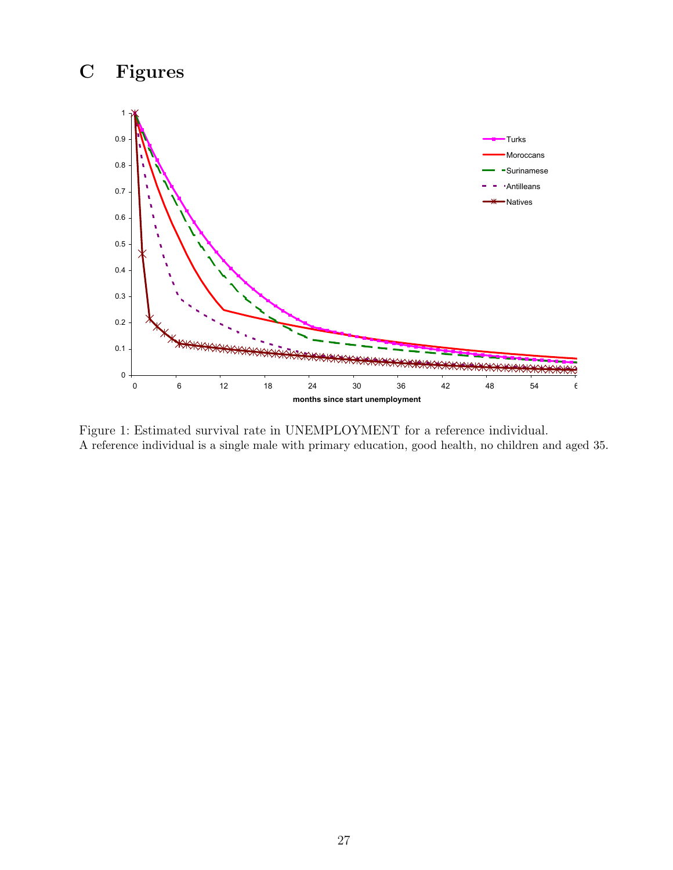# C Figures



Figure 1: Estimated survival rate in UNEMPLOYMENT for a reference individual. A reference individual is a single male with primary education, good health, no children and aged 35.